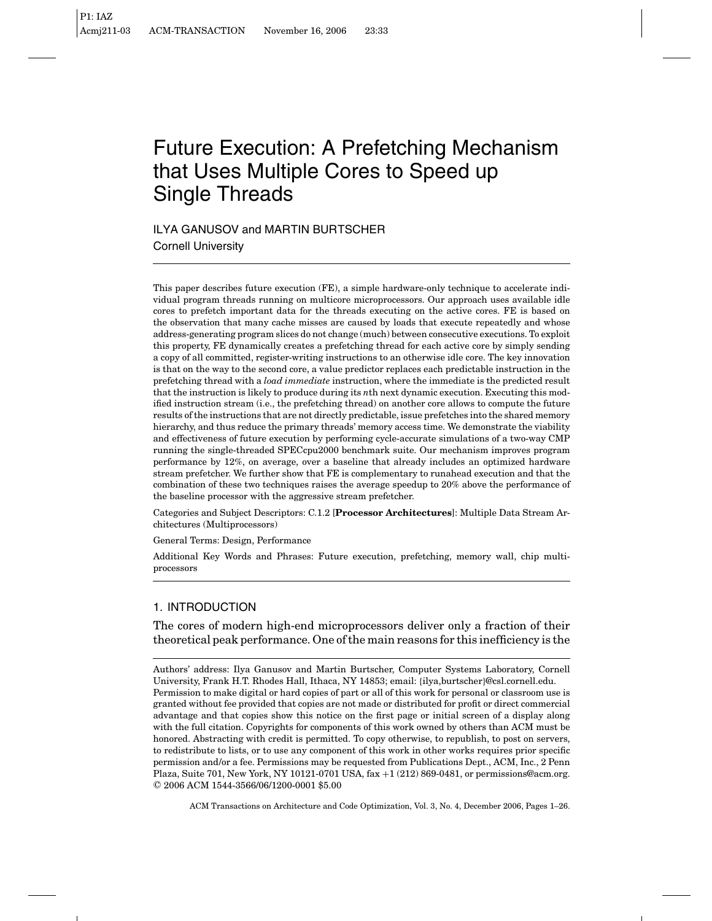# Future Execution: A Prefetching Mechanism that Uses Multiple Cores to Speed up Single Threads

ILYA GANUSOV and MARTIN BURTSCHER Cornell University

This paper describes future execution (FE), a simple hardware-only technique to accelerate individual program threads running on multicore microprocessors. Our approach uses available idle cores to prefetch important data for the threads executing on the active cores. FE is based on the observation that many cache misses are caused by loads that execute repeatedly and whose address-generating program slices do not change (much) between consecutive executions. To exploit this property, FE dynamically creates a prefetching thread for each active core by simply sending a copy of all committed, register-writing instructions to an otherwise idle core. The key innovation is that on the way to the second core, a value predictor replaces each predictable instruction in the prefetching thread with a *load immediate* instruction, where the immediate is the predicted result that the instruction is likely to produce during its *n*th next dynamic execution. Executing this modified instruction stream (i.e., the prefetching thread) on another core allows to compute the future results of the instructions that are not directly predictable, issue prefetches into the shared memory hierarchy, and thus reduce the primary threads' memory access time. We demonstrate the viability and effectiveness of future execution by performing cycle-accurate simulations of a two-way CMP running the single-threaded SPECcpu2000 benchmark suite. Our mechanism improves program performance by 12%, on average, over a baseline that already includes an optimized hardware stream prefetcher. We further show that FE is complementary to runahead execution and that the combination of these two techniques raises the average speedup to 20% above the performance of the baseline processor with the aggressive stream prefetcher.

Categories and Subject Descriptors: C.1.2 [**Processor Architectures**]: Multiple Data Stream Architectures (Multiprocessors)

General Terms: Design, Performance

Additional Key Words and Phrases: Future execution, prefetching, memory wall, chip multiprocessors

## 1. INTRODUCTION

The cores of modern high-end microprocessors deliver only a fraction of their theoretical peak performance. One of the main reasons for this inefficiency is the

Authors' address: Ilya Ganusov and Martin Burtscher, Computer Systems Laboratory, Cornell University, Frank H.T. Rhodes Hall, Ithaca, NY 14853; email: {ilya,burtscher}@csl.cornell.edu. Permission to make digital or hard copies of part or all of this work for personal or classroom use is granted without fee provided that copies are not made or distributed for profit or direct commercial advantage and that copies show this notice on the first page or initial screen of a display along with the full citation. Copyrights for components of this work owned by others than ACM must be honored. Abstracting with credit is permitted. To copy otherwise, to republish, to post on servers, to redistribute to lists, or to use any component of this work in other works requires prior specific permission and/or a fee. Permissions may be requested from Publications Dept., ACM, Inc., 2 Penn Plaza, Suite 701, New York, NY 10121-0701 USA, fax +1 (212) 869-0481, or permissions@acm.org. © 2006 ACM 1544-3566/06/1200-0001 \$5.00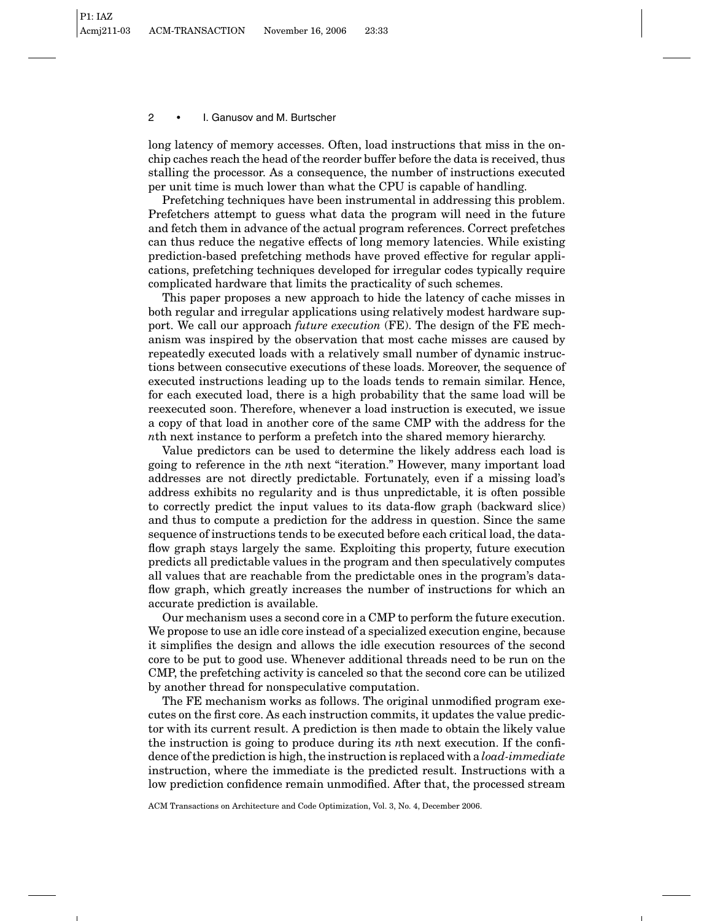long latency of memory accesses. Often, load instructions that miss in the onchip caches reach the head of the reorder buffer before the data is received, thus stalling the processor. As a consequence, the number of instructions executed per unit time is much lower than what the CPU is capable of handling.

Prefetching techniques have been instrumental in addressing this problem. Prefetchers attempt to guess what data the program will need in the future and fetch them in advance of the actual program references. Correct prefetches can thus reduce the negative effects of long memory latencies. While existing prediction-based prefetching methods have proved effective for regular applications, prefetching techniques developed for irregular codes typically require complicated hardware that limits the practicality of such schemes.

This paper proposes a new approach to hide the latency of cache misses in both regular and irregular applications using relatively modest hardware support. We call our approach *future execution* (FE). The design of the FE mechanism was inspired by the observation that most cache misses are caused by repeatedly executed loads with a relatively small number of dynamic instructions between consecutive executions of these loads. Moreover, the sequence of executed instructions leading up to the loads tends to remain similar. Hence, for each executed load, there is a high probability that the same load will be reexecuted soon. Therefore, whenever a load instruction is executed, we issue a copy of that load in another core of the same CMP with the address for the *n*th next instance to perform a prefetch into the shared memory hierarchy.

Value predictors can be used to determine the likely address each load is going to reference in the *n*th next "iteration." However, many important load addresses are not directly predictable. Fortunately, even if a missing load's address exhibits no regularity and is thus unpredictable, it is often possible to correctly predict the input values to its data-flow graph (backward slice) and thus to compute a prediction for the address in question. Since the same sequence of instructions tends to be executed before each critical load, the dataflow graph stays largely the same. Exploiting this property, future execution predicts all predictable values in the program and then speculatively computes all values that are reachable from the predictable ones in the program's dataflow graph, which greatly increases the number of instructions for which an accurate prediction is available.

Our mechanism uses a second core in a CMP to perform the future execution. We propose to use an idle core instead of a specialized execution engine, because it simplifies the design and allows the idle execution resources of the second core to be put to good use. Whenever additional threads need to be run on the CMP, the prefetching activity is canceled so that the second core can be utilized by another thread for nonspeculative computation.

The FE mechanism works as follows. The original unmodified program executes on the first core. As each instruction commits, it updates the value predictor with its current result. A prediction is then made to obtain the likely value the instruction is going to produce during its *n*th next execution. If the confidence of the prediction is high, the instruction is replaced with a *load-immediate* instruction, where the immediate is the predicted result. Instructions with a low prediction confidence remain unmodified. After that, the processed stream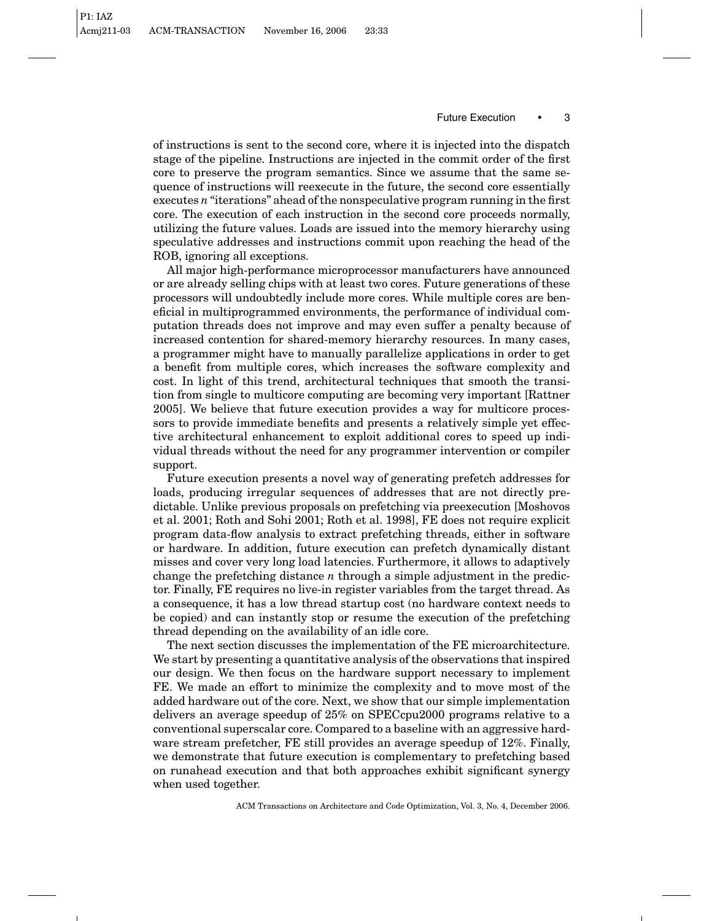of instructions is sent to the second core, where it is injected into the dispatch stage of the pipeline. Instructions are injected in the commit order of the first core to preserve the program semantics. Since we assume that the same sequence of instructions will reexecute in the future, the second core essentially executes *n* "iterations" ahead of the nonspeculative program running in the first core. The execution of each instruction in the second core proceeds normally, utilizing the future values. Loads are issued into the memory hierarchy using speculative addresses and instructions commit upon reaching the head of the ROB, ignoring all exceptions.

All major high-performance microprocessor manufacturers have announced or are already selling chips with at least two cores. Future generations of these processors will undoubtedly include more cores. While multiple cores are beneficial in multiprogrammed environments, the performance of individual computation threads does not improve and may even suffer a penalty because of increased contention for shared-memory hierarchy resources. In many cases, a programmer might have to manually parallelize applications in order to get a benefit from multiple cores, which increases the software complexity and cost. In light of this trend, architectural techniques that smooth the transition from single to multicore computing are becoming very important [Rattner 2005]. We believe that future execution provides a way for multicore processors to provide immediate benefits and presents a relatively simple yet effective architectural enhancement to exploit additional cores to speed up individual threads without the need for any programmer intervention or compiler support.

Future execution presents a novel way of generating prefetch addresses for loads, producing irregular sequences of addresses that are not directly predictable. Unlike previous proposals on prefetching via preexecution [Moshovos et al. 2001; Roth and Sohi 2001; Roth et al. 1998], FE does not require explicit program data-flow analysis to extract prefetching threads, either in software or hardware. In addition, future execution can prefetch dynamically distant misses and cover very long load latencies. Furthermore, it allows to adaptively change the prefetching distance *n* through a simple adjustment in the predictor. Finally, FE requires no live-in register variables from the target thread. As a consequence, it has a low thread startup cost (no hardware context needs to be copied) and can instantly stop or resume the execution of the prefetching thread depending on the availability of an idle core.

The next section discusses the implementation of the FE microarchitecture. We start by presenting a quantitative analysis of the observations that inspired our design. We then focus on the hardware support necessary to implement FE. We made an effort to minimize the complexity and to move most of the added hardware out of the core. Next, we show that our simple implementation delivers an average speedup of 25% on SPECcpu2000 programs relative to a conventional superscalar core. Compared to a baseline with an aggressive hardware stream prefetcher, FE still provides an average speedup of 12%. Finally, we demonstrate that future execution is complementary to prefetching based on runahead execution and that both approaches exhibit significant synergy when used together.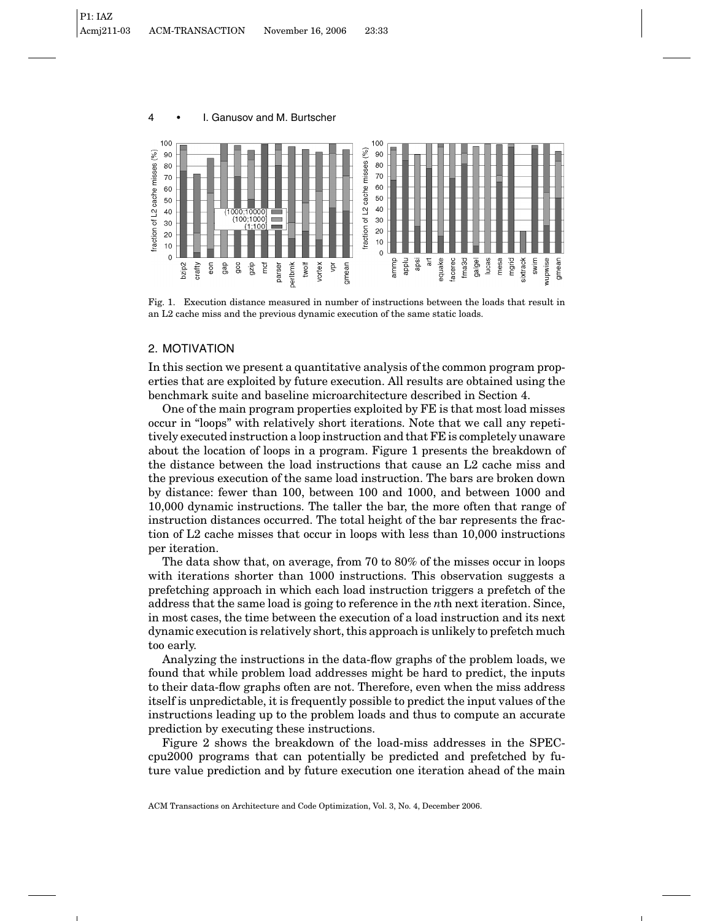

Fig. 1. Execution distance measured in number of instructions between the loads that result in an L2 cache miss and the previous dynamic execution of the same static loads.

## 2. MOTIVATION

In this section we present a quantitative analysis of the common program properties that are exploited by future execution. All results are obtained using the benchmark suite and baseline microarchitecture described in Section 4.

One of the main program properties exploited by FE is that most load misses occur in "loops" with relatively short iterations. Note that we call any repetitively executed instruction a loop instruction and that FE is completely unaware about the location of loops in a program. Figure 1 presents the breakdown of the distance between the load instructions that cause an L2 cache miss and the previous execution of the same load instruction. The bars are broken down by distance: fewer than 100, between 100 and 1000, and between 1000 and 10,000 dynamic instructions. The taller the bar, the more often that range of instruction distances occurred. The total height of the bar represents the fraction of L2 cache misses that occur in loops with less than 10,000 instructions per iteration.

The data show that, on average, from 70 to 80% of the misses occur in loops with iterations shorter than 1000 instructions. This observation suggests a prefetching approach in which each load instruction triggers a prefetch of the address that the same load is going to reference in the *n*th next iteration. Since, in most cases, the time between the execution of a load instruction and its next dynamic execution is relatively short, this approach is unlikely to prefetch much too early.

Analyzing the instructions in the data-flow graphs of the problem loads, we found that while problem load addresses might be hard to predict, the inputs to their data-flow graphs often are not. Therefore, even when the miss address itself is unpredictable, it is frequently possible to predict the input values of the instructions leading up to the problem loads and thus to compute an accurate prediction by executing these instructions.

Figure 2 shows the breakdown of the load-miss addresses in the SPECcpu2000 programs that can potentially be predicted and prefetched by future value prediction and by future execution one iteration ahead of the main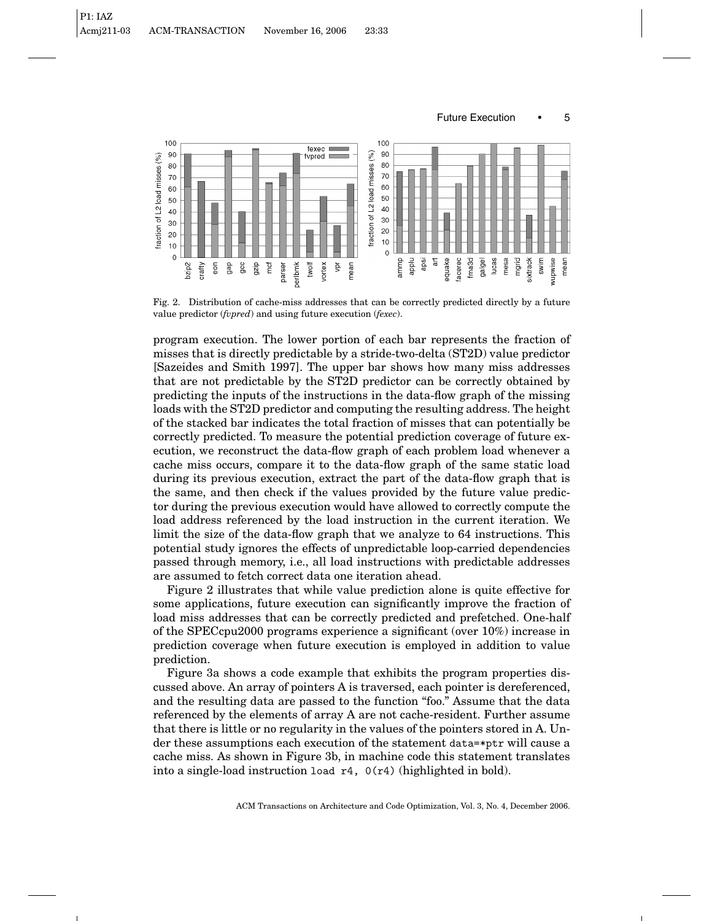

Fig. 2. Distribution of cache-miss addresses that can be correctly predicted directly by a future value predictor (*fvpred*) and using future execution (*fexec*).

program execution. The lower portion of each bar represents the fraction of misses that is directly predictable by a stride-two-delta (ST2D) value predictor [Sazeides and Smith 1997]. The upper bar shows how many miss addresses that are not predictable by the ST2D predictor can be correctly obtained by predicting the inputs of the instructions in the data-flow graph of the missing loads with the ST2D predictor and computing the resulting address. The height of the stacked bar indicates the total fraction of misses that can potentially be correctly predicted. To measure the potential prediction coverage of future execution, we reconstruct the data-flow graph of each problem load whenever a cache miss occurs, compare it to the data-flow graph of the same static load during its previous execution, extract the part of the data-flow graph that is the same, and then check if the values provided by the future value predictor during the previous execution would have allowed to correctly compute the load address referenced by the load instruction in the current iteration. We limit the size of the data-flow graph that we analyze to 64 instructions. This potential study ignores the effects of unpredictable loop-carried dependencies passed through memory, i.e., all load instructions with predictable addresses are assumed to fetch correct data one iteration ahead.

Figure 2 illustrates that while value prediction alone is quite effective for some applications, future execution can significantly improve the fraction of load miss addresses that can be correctly predicted and prefetched. One-half of the SPECcpu2000 programs experience a significant (over 10%) increase in prediction coverage when future execution is employed in addition to value prediction.

Figure 3a shows a code example that exhibits the program properties discussed above. An array of pointers A is traversed, each pointer is dereferenced, and the resulting data are passed to the function "foo." Assume that the data referenced by the elements of array A are not cache-resident. Further assume that there is little or no regularity in the values of the pointers stored in A. Under these assumptions each execution of the statement data=\*ptr will cause a cache miss. As shown in Figure 3b, in machine code this statement translates into a single-load instruction load r4, 0(r4) (highlighted in bold).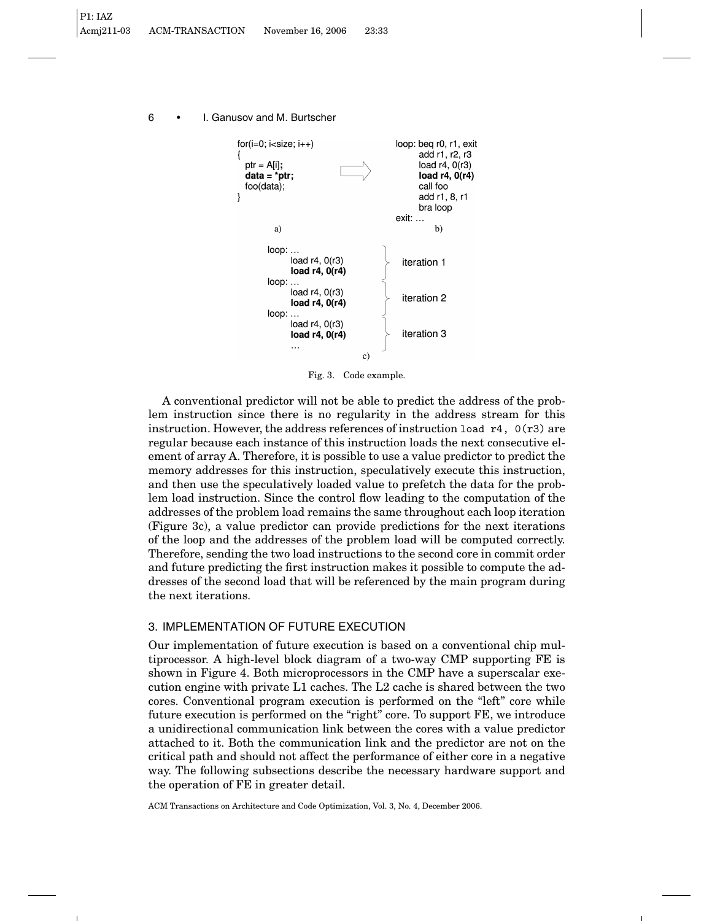

Fig. 3. Code example.

A conventional predictor will not be able to predict the address of the problem instruction since there is no regularity in the address stream for this instruction. However, the address references of instruction load r4,  $0(r3)$  are regular because each instance of this instruction loads the next consecutive element of array A. Therefore, it is possible to use a value predictor to predict the memory addresses for this instruction, speculatively execute this instruction, and then use the speculatively loaded value to prefetch the data for the problem load instruction. Since the control flow leading to the computation of the addresses of the problem load remains the same throughout each loop iteration (Figure 3c), a value predictor can provide predictions for the next iterations of the loop and the addresses of the problem load will be computed correctly. Therefore, sending the two load instructions to the second core in commit order and future predicting the first instruction makes it possible to compute the addresses of the second load that will be referenced by the main program during the next iterations.

# 3. IMPLEMENTATION OF FUTURE EXECUTION

Our implementation of future execution is based on a conventional chip multiprocessor. A high-level block diagram of a two-way CMP supporting FE is shown in Figure 4. Both microprocessors in the CMP have a superscalar execution engine with private L1 caches. The L2 cache is shared between the two cores. Conventional program execution is performed on the "left" core while future execution is performed on the "right" core. To support FE, we introduce a unidirectional communication link between the cores with a value predictor attached to it. Both the communication link and the predictor are not on the critical path and should not affect the performance of either core in a negative way. The following subsections describe the necessary hardware support and the operation of FE in greater detail.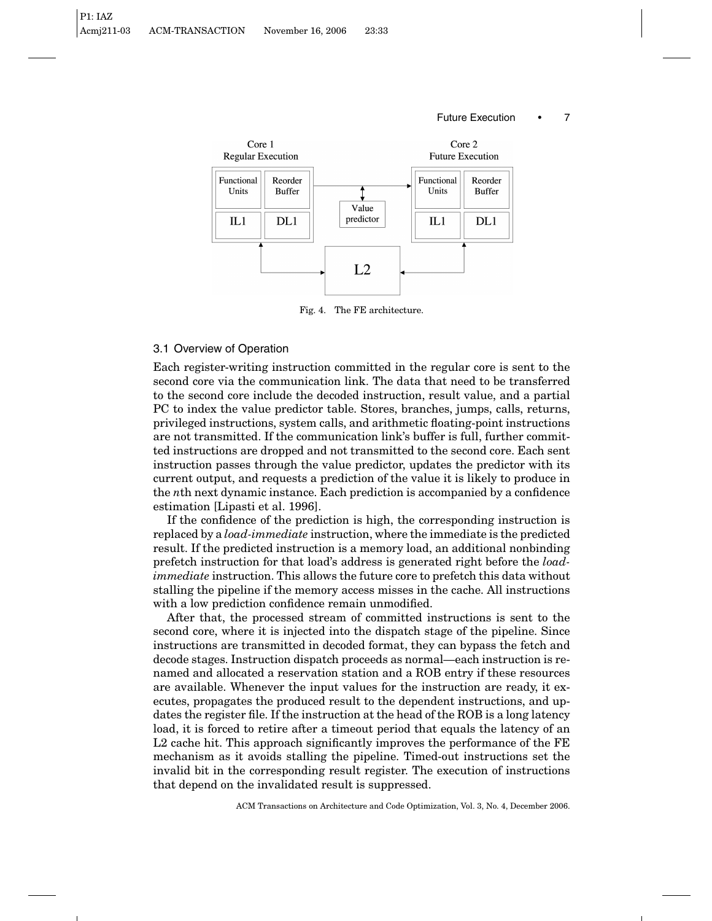

## Fig. 4. The FE architecture.

## 3.1 Overview of Operation

Each register-writing instruction committed in the regular core is sent to the second core via the communication link. The data that need to be transferred to the second core include the decoded instruction, result value, and a partial PC to index the value predictor table. Stores, branches, jumps, calls, returns, privileged instructions, system calls, and arithmetic floating-point instructions are not transmitted. If the communication link's buffer is full, further committed instructions are dropped and not transmitted to the second core. Each sent instruction passes through the value predictor, updates the predictor with its current output, and requests a prediction of the value it is likely to produce in the *n*th next dynamic instance. Each prediction is accompanied by a confidence estimation [Lipasti et al. 1996].

If the confidence of the prediction is high, the corresponding instruction is replaced by a *load-immediate* instruction, where the immediate is the predicted result. If the predicted instruction is a memory load, an additional nonbinding prefetch instruction for that load's address is generated right before the *loadimmediate* instruction. This allows the future core to prefetch this data without stalling the pipeline if the memory access misses in the cache. All instructions with a low prediction confidence remain unmodified.

After that, the processed stream of committed instructions is sent to the second core, where it is injected into the dispatch stage of the pipeline. Since instructions are transmitted in decoded format, they can bypass the fetch and decode stages. Instruction dispatch proceeds as normal—each instruction is renamed and allocated a reservation station and a ROB entry if these resources are available. Whenever the input values for the instruction are ready, it executes, propagates the produced result to the dependent instructions, and updates the register file. If the instruction at the head of the ROB is a long latency load, it is forced to retire after a timeout period that equals the latency of an L2 cache hit. This approach significantly improves the performance of the FE mechanism as it avoids stalling the pipeline. Timed-out instructions set the invalid bit in the corresponding result register. The execution of instructions that depend on the invalidated result is suppressed.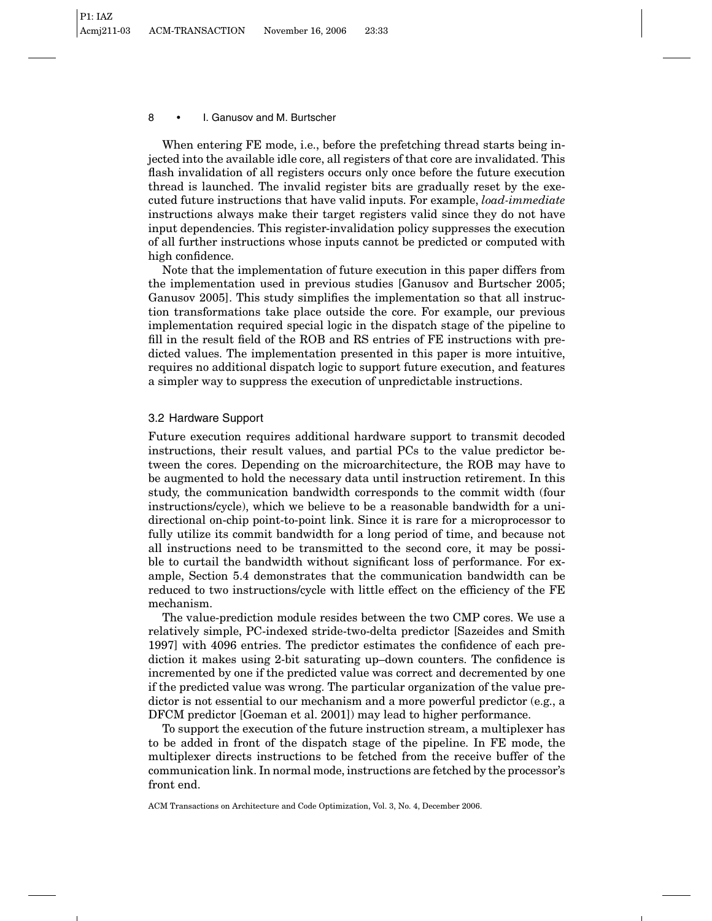When entering FE mode, i.e., before the prefetching thread starts being injected into the available idle core, all registers of that core are invalidated. This flash invalidation of all registers occurs only once before the future execution thread is launched. The invalid register bits are gradually reset by the executed future instructions that have valid inputs. For example, *load-immediate* instructions always make their target registers valid since they do not have input dependencies. This register-invalidation policy suppresses the execution of all further instructions whose inputs cannot be predicted or computed with high confidence.

Note that the implementation of future execution in this paper differs from the implementation used in previous studies [Ganusov and Burtscher 2005; Ganusov 2005]. This study simplifies the implementation so that all instruction transformations take place outside the core. For example, our previous implementation required special logic in the dispatch stage of the pipeline to fill in the result field of the ROB and RS entries of FE instructions with predicted values. The implementation presented in this paper is more intuitive, requires no additional dispatch logic to support future execution, and features a simpler way to suppress the execution of unpredictable instructions.

# 3.2 Hardware Support

Future execution requires additional hardware support to transmit decoded instructions, their result values, and partial PCs to the value predictor between the cores. Depending on the microarchitecture, the ROB may have to be augmented to hold the necessary data until instruction retirement. In this study, the communication bandwidth corresponds to the commit width (four instructions/cycle), which we believe to be a reasonable bandwidth for a unidirectional on-chip point-to-point link. Since it is rare for a microprocessor to fully utilize its commit bandwidth for a long period of time, and because not all instructions need to be transmitted to the second core, it may be possible to curtail the bandwidth without significant loss of performance. For example, Section 5.4 demonstrates that the communication bandwidth can be reduced to two instructions/cycle with little effect on the efficiency of the FE mechanism.

The value-prediction module resides between the two CMP cores. We use a relatively simple, PC-indexed stride-two-delta predictor [Sazeides and Smith 1997] with 4096 entries. The predictor estimates the confidence of each prediction it makes using 2-bit saturating up–down counters. The confidence is incremented by one if the predicted value was correct and decremented by one if the predicted value was wrong. The particular organization of the value predictor is not essential to our mechanism and a more powerful predictor (e.g., a DFCM predictor [Goeman et al. 2001]) may lead to higher performance.

To support the execution of the future instruction stream, a multiplexer has to be added in front of the dispatch stage of the pipeline. In FE mode, the multiplexer directs instructions to be fetched from the receive buffer of the communication link. In normal mode, instructions are fetched by the processor's front end.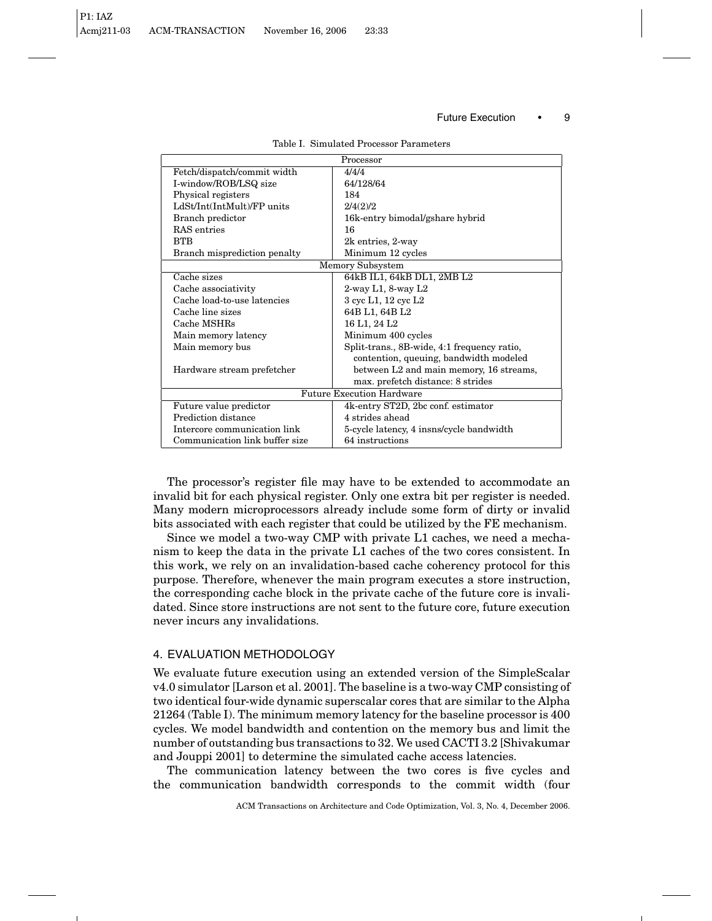| Processor                        |                                             |  |  |  |
|----------------------------------|---------------------------------------------|--|--|--|
| Fetch/dispatch/commit width      | 4/4/4                                       |  |  |  |
| I-window/ROB/LSQ size            | 64/128/64                                   |  |  |  |
| Physical registers               | 184                                         |  |  |  |
| LdSt/Int(IntMult)/FP units       | 2/4(2)/2                                    |  |  |  |
| Branch predictor                 | 16k-entry bimodal/gshare hybrid             |  |  |  |
| RAS entries                      | 16                                          |  |  |  |
| <b>BTB</b>                       | 2k entries, 2-way                           |  |  |  |
| Branch misprediction penalty     | Minimum 12 cycles                           |  |  |  |
| Memory Subsystem                 |                                             |  |  |  |
| Cache sizes                      | 64kB IL1, 64kB DL1, 2MB L2                  |  |  |  |
| Cache associativity              | $2$ -way L1, 8-way L2                       |  |  |  |
| Cache load-to-use latencies      | 3 cyc L1, 12 cyc L2                         |  |  |  |
| Cache line sizes                 | 64B L1, 64B L2                              |  |  |  |
| Cache MSHRs                      | 16 L1, 24 L2                                |  |  |  |
| Main memory latency              | Minimum 400 cycles                          |  |  |  |
| Main memory bus                  | Split-trans., 8B-wide, 4:1 frequency ratio, |  |  |  |
|                                  | contention, queuing, bandwidth modeled      |  |  |  |
| Hardware stream prefetcher       | between L2 and main memory, 16 streams,     |  |  |  |
|                                  | max. prefetch distance: 8 strides           |  |  |  |
| <b>Future Execution Hardware</b> |                                             |  |  |  |
| Future value predictor           | 4k-entry ST2D, 2bc conf. estimator          |  |  |  |
| Prediction distance              | 4 strides ahead                             |  |  |  |
| Intercore communication link     | 5-cycle latency, 4 insns/cycle bandwidth    |  |  |  |
| Communication link buffer size   | 64 instructions                             |  |  |  |

#### Table I. Simulated Processor Parameters

The processor's register file may have to be extended to accommodate an invalid bit for each physical register. Only one extra bit per register is needed. Many modern microprocessors already include some form of dirty or invalid bits associated with each register that could be utilized by the FE mechanism.

Since we model a two-way CMP with private L1 caches, we need a mechanism to keep the data in the private L1 caches of the two cores consistent. In this work, we rely on an invalidation-based cache coherency protocol for this purpose. Therefore, whenever the main program executes a store instruction, the corresponding cache block in the private cache of the future core is invalidated. Since store instructions are not sent to the future core, future execution never incurs any invalidations.

# 4. EVALUATION METHODOLOGY

We evaluate future execution using an extended version of the SimpleScalar v4.0 simulator [Larson et al. 2001]. The baseline is a two-way CMP consisting of two identical four-wide dynamic superscalar cores that are similar to the Alpha 21264 (Table I). The minimum memory latency for the baseline processor is 400 cycles. We model bandwidth and contention on the memory bus and limit the number of outstanding bus transactions to 32. We used CACTI 3.2 [Shivakumar and Jouppi 2001] to determine the simulated cache access latencies.

The communication latency between the two cores is five cycles and the communication bandwidth corresponds to the commit width (four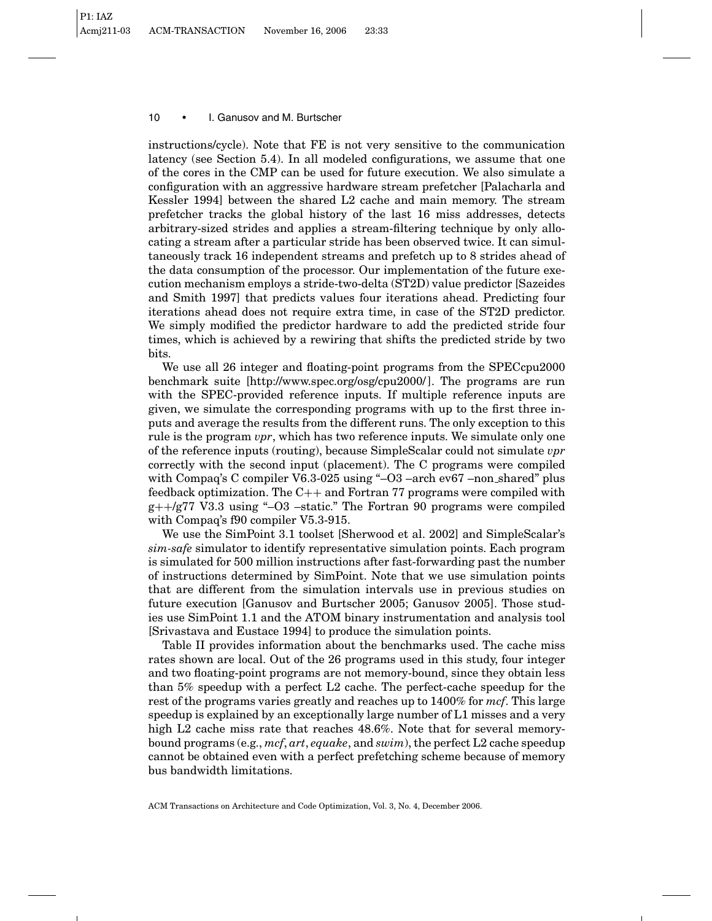instructions/cycle). Note that FE is not very sensitive to the communication latency (see Section 5.4). In all modeled configurations, we assume that one of the cores in the CMP can be used for future execution. We also simulate a configuration with an aggressive hardware stream prefetcher [Palacharla and Kessler 1994] between the shared L2 cache and main memory. The stream prefetcher tracks the global history of the last 16 miss addresses, detects arbitrary-sized strides and applies a stream-filtering technique by only allocating a stream after a particular stride has been observed twice. It can simultaneously track 16 independent streams and prefetch up to 8 strides ahead of the data consumption of the processor. Our implementation of the future execution mechanism employs a stride-two-delta (ST2D) value predictor [Sazeides and Smith 1997] that predicts values four iterations ahead. Predicting four iterations ahead does not require extra time, in case of the ST2D predictor. We simply modified the predictor hardware to add the predicted stride four times, which is achieved by a rewiring that shifts the predicted stride by two bits.

We use all 26 integer and floating-point programs from the SPECcpu2000 benchmark suite [http://www.spec.org/osg/cpu2000/ ]. The programs are run with the SPEC-provided reference inputs. If multiple reference inputs are given, we simulate the corresponding programs with up to the first three inputs and average the results from the different runs. The only exception to this rule is the program *vpr*, which has two reference inputs. We simulate only one of the reference inputs (routing), because SimpleScalar could not simulate *vpr* correctly with the second input (placement). The C programs were compiled with Compaq's C compiler V6.3-025 using "–O3 –arch ev67 –non shared" plus feedback optimization. The  $C_{++}$  and Fortran 77 programs were compiled with  $g$ ++/g77 V3.3 using "-O3 -static." The Fortran 90 programs were compiled with Compaq's f90 compiler V5.3-915.

We use the SimPoint 3.1 toolset [Sherwood et al. 2002] and SimpleScalar's *sim-safe* simulator to identify representative simulation points. Each program is simulated for 500 million instructions after fast-forwarding past the number of instructions determined by SimPoint. Note that we use simulation points that are different from the simulation intervals use in previous studies on future execution [Ganusov and Burtscher 2005; Ganusov 2005]. Those studies use SimPoint 1.1 and the ATOM binary instrumentation and analysis tool [Srivastava and Eustace 1994] to produce the simulation points.

Table II provides information about the benchmarks used. The cache miss rates shown are local. Out of the 26 programs used in this study, four integer and two floating-point programs are not memory-bound, since they obtain less than 5% speedup with a perfect L2 cache. The perfect-cache speedup for the rest of the programs varies greatly and reaches up to 1400% for *mcf*. This large speedup is explained by an exceptionally large number of L1 misses and a very high L2 cache miss rate that reaches 48.6%. Note that for several memorybound programs (e.g., *mcf*, *art*, *equake*, and *swim*), the perfect L2 cache speedup cannot be obtained even with a perfect prefetching scheme because of memory bus bandwidth limitations.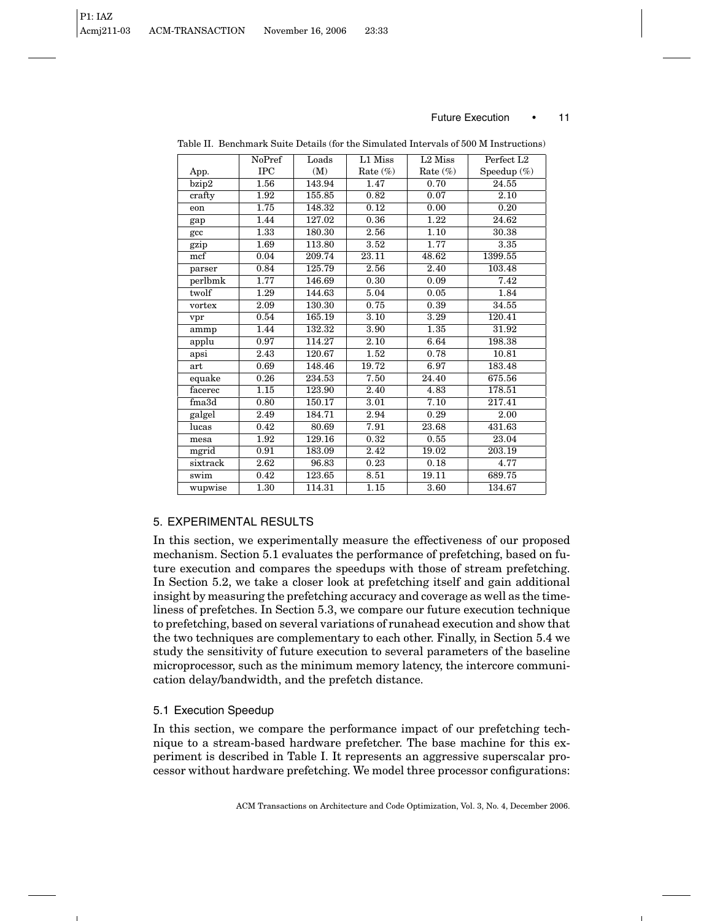|          | NoPref     | Loads  | L1 Miss            | $L2$ Miss   | Perfect L2     |
|----------|------------|--------|--------------------|-------------|----------------|
| App.     | <b>IPC</b> | (M)    | Rate $(\%)$        | Rate $(\%)$ | Speedup $(\%)$ |
| bzip2    | 1.56       | 143.94 | 1.47               | 0.70        | 24.55          |
| crafty   | 1.92       | 155.85 | 0.82               | 0.07        | 2.10           |
| eon      | 1.75       | 148.32 | 0.12               | 0.00        | 0.20           |
| gap      | 1.44       | 127.02 | 0.36               | 1.22        | 24.62          |
| gcc      | 1.33       | 180.30 | 2.56               | 1.10        | 30.38          |
| gzip     | 1.69       | 113.80 | 3.52               | 1.77        | 3.35           |
| mcf      | 0.04       | 209.74 | $\overline{2}3.11$ | 48.62       | 1399.55        |
| parser   | 0.84       | 125.79 | 2.56               | 2.40        | 103.48         |
| perlbmk  | 1.77       | 146.69 | 0.30               | 0.09        | 7.42           |
| twolf    | 1.29       | 144.63 | 5.04               | 0.05        | 1.84           |
| vortex   | 2.09       | 130.30 | 0.75               | 0.39        | 34.55          |
| vpr      | 0.54       | 165.19 | 3.10               | 3.29        | 120.41         |
| ammp     | 1.44       | 132.32 | 3.90               | 1.35        | 31.92          |
| applu    | 0.97       | 114.27 | 2.10               | 6.64        | 198.38         |
| apsi     | 2.43       | 120.67 | 1.52               | 0.78        | 10.81          |
| art      | 0.69       | 148.46 | 19.72              | 6.97        | 183.48         |
| equake   | 0.26       | 234.53 | 7.50               | 24.40       | 675.56         |
| facerec  | 1.15       | 123.90 | $\overline{2.40}$  | 4.83        | 178.51         |
| fma3d    | 0.80       | 150.17 | 3.01               | 7.10        | 217.41         |
| galgel   | 2.49       | 184.71 | 2.94               | 0.29        | 2.00           |
| lucas    | 0.42       | 80.69  | 7.91               | 23.68       | 431.63         |
| mesa     | 1.92       | 129.16 | 0.32               | 0.55        | 23.04          |
| mgrid    | 0.91       | 183.09 | 2.42               | 19.02       | 203.19         |
| sixtrack | 2.62       | 96.83  | 0.23               | 0.18        | 4.77           |
| swim     | 0.42       | 123.65 | 8.51               | 19.11       | 689.75         |
| wupwise  | 1.30       | 114.31 | 1.15               | 3.60        | 134.67         |

Table II. Benchmark Suite Details (for the Simulated Intervals of 500 M Instructions)

# 5. EXPERIMENTAL RESULTS

In this section, we experimentally measure the effectiveness of our proposed mechanism. Section 5.1 evaluates the performance of prefetching, based on future execution and compares the speedups with those of stream prefetching. In Section 5.2, we take a closer look at prefetching itself and gain additional insight by measuring the prefetching accuracy and coverage as well as the timeliness of prefetches. In Section 5.3, we compare our future execution technique to prefetching, based on several variations of runahead execution and show that the two techniques are complementary to each other. Finally, in Section 5.4 we study the sensitivity of future execution to several parameters of the baseline microprocessor, such as the minimum memory latency, the intercore communication delay/bandwidth, and the prefetch distance.

## 5.1 Execution Speedup

In this section, we compare the performance impact of our prefetching technique to a stream-based hardware prefetcher. The base machine for this experiment is described in Table I. It represents an aggressive superscalar processor without hardware prefetching. We model three processor configurations: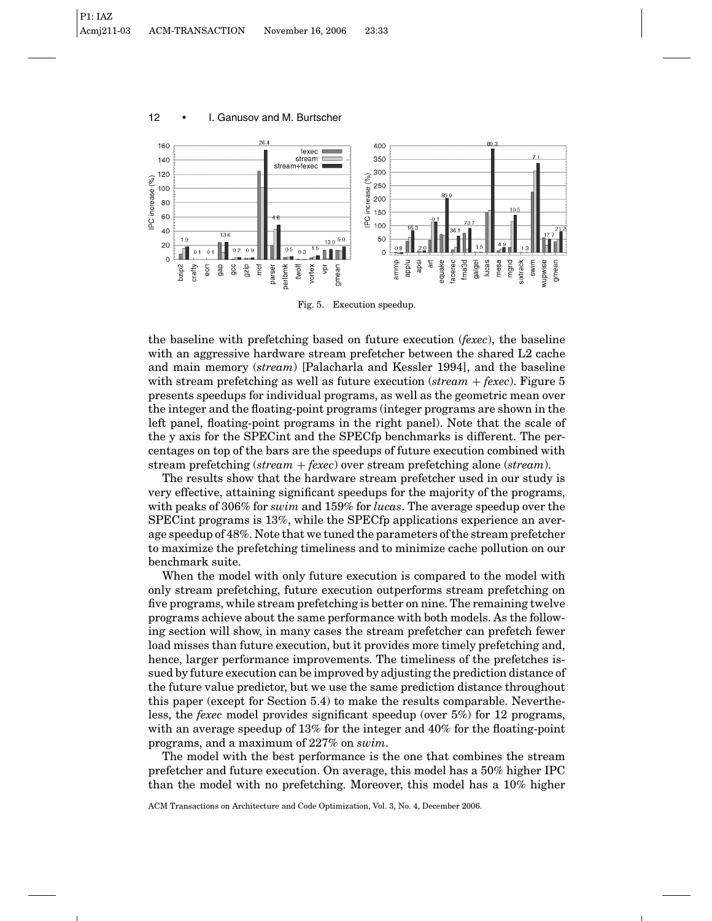

Fig. 5. Execution speedup.

the baseline with prefetching based on future execution (*fexec*), the baseline with an aggressive hardware stream prefetcher between the shared L2 cache and main memory (*stream*) [Palacharla and Kessler 1994], and the baseline with stream prefetching as well as future execution (*stream* + *fexec*). Figure 5 presents speedups for individual programs, as well as the geometric mean over the integer and the floating-point programs (integer programs are shown in the left panel, floating-point programs in the right panel). Note that the scale of the y axis for the SPECint and the SPECfp benchmarks is different. The percentages on top of the bars are the speedups of future execution combined with stream prefetching (*stream* + *fexec*) over stream prefetching alone (*stream*).

The results show that the hardware stream prefetcher used in our study is very effective, attaining significant speedups for the majority of the programs, with peaks of 306% for *swim* and 159% for *lucas*. The average speedup over the SPECint programs is 13%, while the SPECfp applications experience an average speedup of 48%. Note that we tuned the parameters of the stream prefetcher to maximize the prefetching timeliness and to minimize cache pollution on our benchmark suite.

When the model with only future execution is compared to the model with only stream prefetching, future execution outperforms stream prefetching on five programs, while stream prefetching is better on nine. The remaining twelve programs achieve about the same performance with both models. As the following section will show, in many cases the stream prefetcher can prefetch fewer load misses than future execution, but it provides more timely prefetching and, hence, larger performance improvements. The timeliness of the prefetches issued by future execution can be improved by adjusting the prediction distance of the future value predictor, but we use the same prediction distance throughout this paper (except for Section 5.4) to make the results comparable. Nevertheless, the *fexec* model provides significant speedup (over 5%) for 12 programs, with an average speedup of 13% for the integer and 40% for the floating-point programs, and a maximum of 227% on *swim*.

The model with the best performance is the one that combines the stream prefetcher and future execution. On average, this model has a 50% higher IPC than the model with no prefetching. Moreover, this model has a 10% higher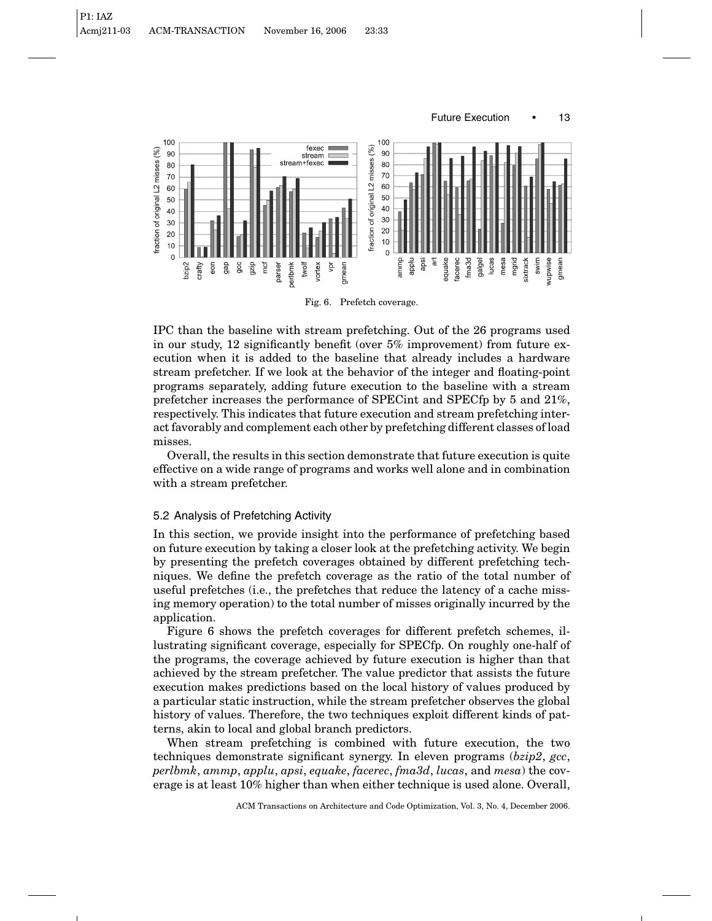

IPC than the baseline with stream prefetching. Out of the 26 programs used in our study, 12 significantly benefit (over  $5\%$  improvement) from future execution when it is added to the baseline that already includes a hardware stream prefetcher. If we look at the behavior of the integer and floating-point programs separately, adding future execution to the baseline with a stream prefetcher increases the performance of SPECint and SPECfp by 5 and 21%, respectively. This indicates that future execution and stream prefetching interact favorably and complement each other by prefetching different classes of load misses.

Overall, the results in this section demonstrate that future execution is quite effective on a wide range of programs and works well alone and in combination with a stream prefetcher.

## 5.2 Analysis of Prefetching Activity

In this section, we provide insight into the performance of prefetching based on future execution by taking a closer look at the prefetching activity. We begin by presenting the prefetch coverages obtained by different prefetching techniques. We define the prefetch coverage as the ratio of the total number of useful prefetches (i.e., the prefetches that reduce the latency of a cache missing memory operation) to the total number of misses originally incurred by the application.

Figure 6 shows the prefetch coverages for different prefetch schemes, illustrating significant coverage, especially for SPECfp. On roughly one-half of the programs, the coverage achieved by future execution is higher than that achieved by the stream prefetcher. The value predictor that assists the future execution makes predictions based on the local history of values produced by a particular static instruction, while the stream prefetcher observes the global history of values. Therefore, the two techniques exploit different kinds of patterns, akin to local and global branch predictors.

When stream prefetching is combined with future execution, the two techniques demonstrate significant synergy. In eleven programs (*bzip2*, *gcc*, *perlbmk*, *ammp*, *applu*, *apsi*, *equake*, *facerec*, *fma3d*, *lucas*, and *mesa*) the coverage is at least 10% higher than when either technique is used alone. Overall,

ACM Transactions on Architecture and Code Optimization, Vol. 3, No. 4, December 2006.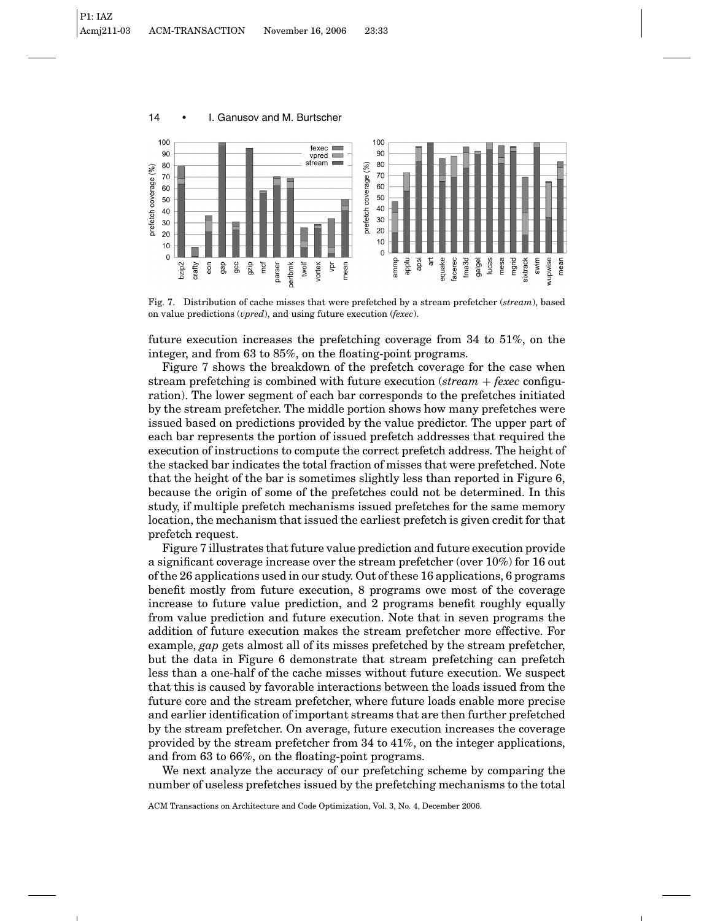



Fig. 7. Distribution of cache misses that were prefetched by a stream prefetcher (*stream*), based on value predictions (*vpred*), and using future execution (*fexec*).

future execution increases the prefetching coverage from 34 to 51%, on the integer, and from 63 to 85%, on the floating-point programs.

Figure 7 shows the breakdown of the prefetch coverage for the case when stream prefetching is combined with future execution (*stream* + *fexec* configuration). The lower segment of each bar corresponds to the prefetches initiated by the stream prefetcher. The middle portion shows how many prefetches were issued based on predictions provided by the value predictor. The upper part of each bar represents the portion of issued prefetch addresses that required the execution of instructions to compute the correct prefetch address. The height of the stacked bar indicates the total fraction of misses that were prefetched. Note that the height of the bar is sometimes slightly less than reported in Figure 6, because the origin of some of the prefetches could not be determined. In this study, if multiple prefetch mechanisms issued prefetches for the same memory location, the mechanism that issued the earliest prefetch is given credit for that prefetch request.

Figure 7 illustrates that future value prediction and future execution provide a significant coverage increase over the stream prefetcher (over 10%) for 16 out of the 26 applications used in our study. Out of these 16 applications, 6 programs benefit mostly from future execution, 8 programs owe most of the coverage increase to future value prediction, and 2 programs benefit roughly equally from value prediction and future execution. Note that in seven programs the addition of future execution makes the stream prefetcher more effective. For example, *gap* gets almost all of its misses prefetched by the stream prefetcher, but the data in Figure 6 demonstrate that stream prefetching can prefetch less than a one-half of the cache misses without future execution. We suspect that this is caused by favorable interactions between the loads issued from the future core and the stream prefetcher, where future loads enable more precise and earlier identification of important streams that are then further prefetched by the stream prefetcher. On average, future execution increases the coverage provided by the stream prefetcher from 34 to 41%, on the integer applications, and from 63 to 66%, on the floating-point programs.

We next analyze the accuracy of our prefetching scheme by comparing the number of useless prefetches issued by the prefetching mechanisms to the total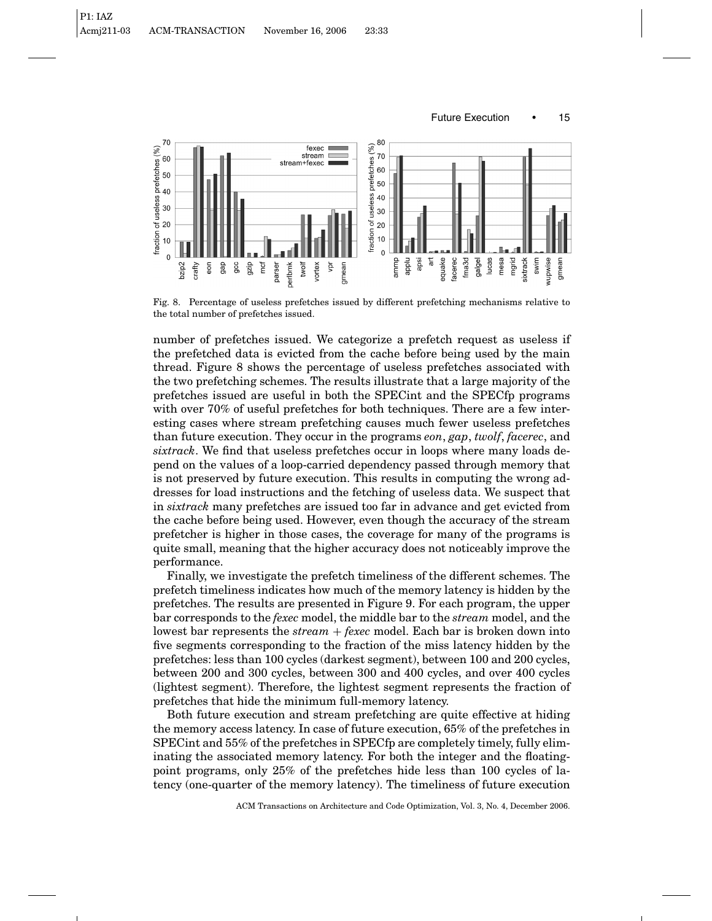

Fig. 8. Percentage of useless prefetches issued by different prefetching mechanisms relative to the total number of prefetches issued.

number of prefetches issued. We categorize a prefetch request as useless if the prefetched data is evicted from the cache before being used by the main thread. Figure 8 shows the percentage of useless prefetches associated with the two prefetching schemes. The results illustrate that a large majority of the prefetches issued are useful in both the SPECint and the SPECfp programs with over 70% of useful prefetches for both techniques. There are a few interesting cases where stream prefetching causes much fewer useless prefetches than future execution. They occur in the programs *eon*, *gap*, *twolf*, *facerec*, and *sixtrack*. We find that useless prefetches occur in loops where many loads depend on the values of a loop-carried dependency passed through memory that is not preserved by future execution. This results in computing the wrong addresses for load instructions and the fetching of useless data. We suspect that in *sixtrack* many prefetches are issued too far in advance and get evicted from the cache before being used. However, even though the accuracy of the stream prefetcher is higher in those cases, the coverage for many of the programs is quite small, meaning that the higher accuracy does not noticeably improve the performance.

Finally, we investigate the prefetch timeliness of the different schemes. The prefetch timeliness indicates how much of the memory latency is hidden by the prefetches. The results are presented in Figure 9. For each program, the upper bar corresponds to the *fexec* model, the middle bar to the *stream* model, and the lowest bar represents the *stream* + *fexec* model. Each bar is broken down into five segments corresponding to the fraction of the miss latency hidden by the prefetches: less than 100 cycles (darkest segment), between 100 and 200 cycles, between 200 and 300 cycles, between 300 and 400 cycles, and over 400 cycles (lightest segment). Therefore, the lightest segment represents the fraction of prefetches that hide the minimum full-memory latency.

Both future execution and stream prefetching are quite effective at hiding the memory access latency. In case of future execution, 65% of the prefetches in SPECint and 55% of the prefetches in SPECfp are completely timely, fully eliminating the associated memory latency. For both the integer and the floatingpoint programs, only 25% of the prefetches hide less than 100 cycles of latency (one-quarter of the memory latency). The timeliness of future execution

ACM Transactions on Architecture and Code Optimization, Vol. 3, No. 4, December 2006.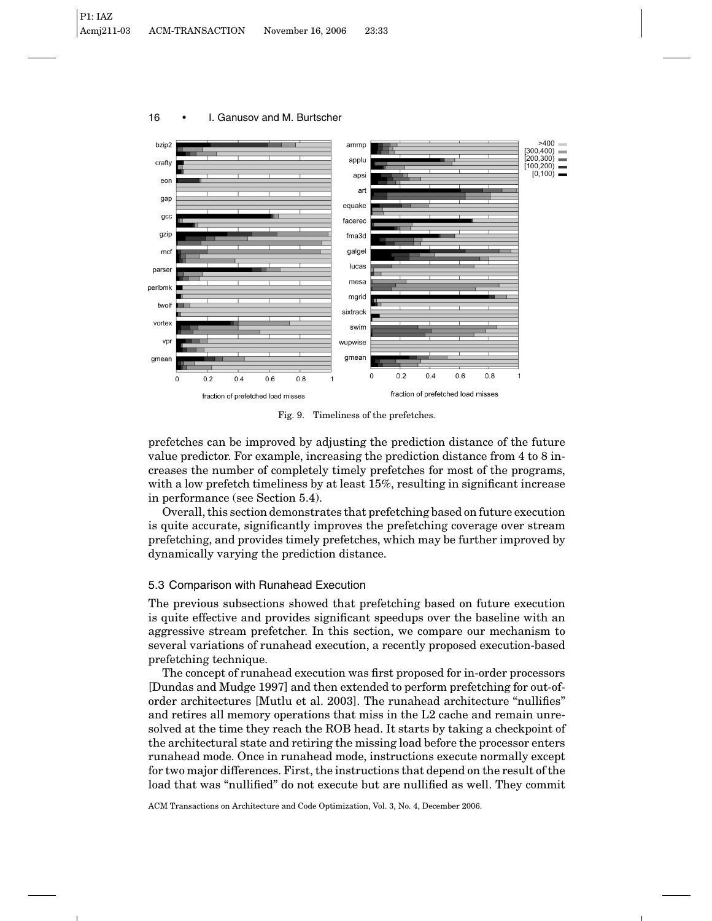

Fig. 9. Timeliness of the prefetches.

prefetches can be improved by adjusting the prediction distance of the future value predictor. For example, increasing the prediction distance from 4 to 8 increases the number of completely timely prefetches for most of the programs, with a low prefetch timeliness by at least 15%, resulting in significant increase in performance (see Section 5.4).

Overall, this section demonstrates that prefetching based on future execution is quite accurate, significantly improves the prefetching coverage over stream prefetching, and provides timely prefetches, which may be further improved by dynamically varying the prediction distance.

## 5.3 Comparison with Runahead Execution

The previous subsections showed that prefetching based on future execution is quite effective and provides significant speedups over the baseline with an aggressive stream prefetcher. In this section, we compare our mechanism to several variations of runahead execution, a recently proposed execution-based prefetching technique.

The concept of runahead execution was first proposed for in-order processors [Dundas and Mudge 1997] and then extended to perform prefetching for out-oforder architectures [Mutlu et al. 2003]. The runahead architecture "nullifies" and retires all memory operations that miss in the L2 cache and remain unresolved at the time they reach the ROB head. It starts by taking a checkpoint of the architectural state and retiring the missing load before the processor enters runahead mode. Once in runahead mode, instructions execute normally except for two major differences. First, the instructions that depend on the result of the load that was "nullified" do not execute but are nullified as well. They commit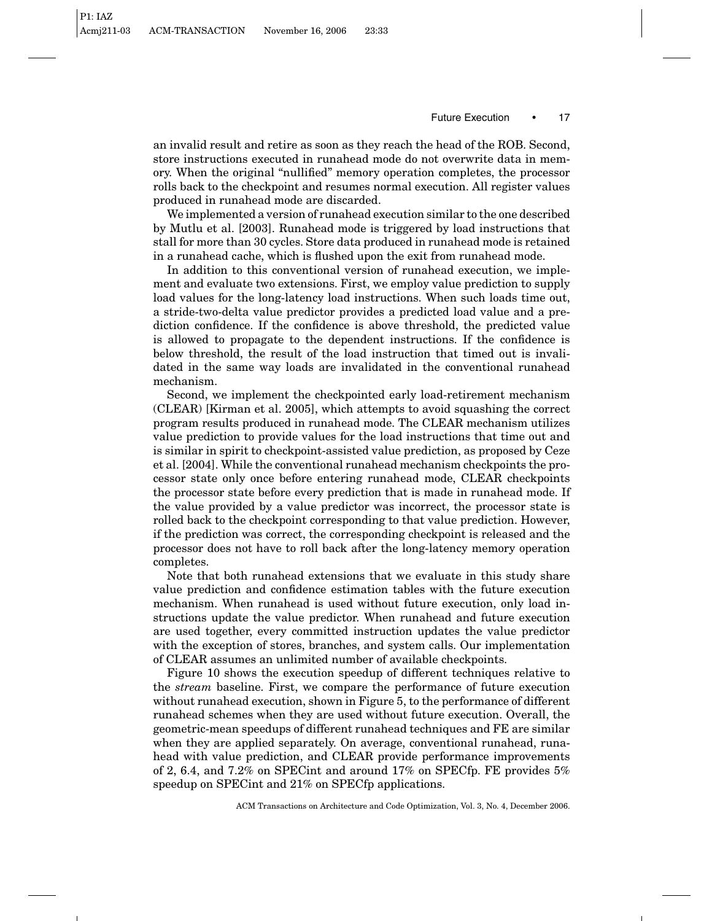an invalid result and retire as soon as they reach the head of the ROB. Second, store instructions executed in runahead mode do not overwrite data in memory. When the original "nullified" memory operation completes, the processor rolls back to the checkpoint and resumes normal execution. All register values produced in runahead mode are discarded.

We implemented a version of runahead execution similar to the one described by Mutlu et al. [2003]. Runahead mode is triggered by load instructions that stall for more than 30 cycles. Store data produced in runahead mode is retained in a runahead cache, which is flushed upon the exit from runahead mode.

In addition to this conventional version of runahead execution, we implement and evaluate two extensions. First, we employ value prediction to supply load values for the long-latency load instructions. When such loads time out, a stride-two-delta value predictor provides a predicted load value and a prediction confidence. If the confidence is above threshold, the predicted value is allowed to propagate to the dependent instructions. If the confidence is below threshold, the result of the load instruction that timed out is invalidated in the same way loads are invalidated in the conventional runahead mechanism.

Second, we implement the checkpointed early load-retirement mechanism (CLEAR) [Kirman et al. 2005], which attempts to avoid squashing the correct program results produced in runahead mode. The CLEAR mechanism utilizes value prediction to provide values for the load instructions that time out and is similar in spirit to checkpoint-assisted value prediction, as proposed by Ceze et al. [2004]. While the conventional runahead mechanism checkpoints the processor state only once before entering runahead mode, CLEAR checkpoints the processor state before every prediction that is made in runahead mode. If the value provided by a value predictor was incorrect, the processor state is rolled back to the checkpoint corresponding to that value prediction. However, if the prediction was correct, the corresponding checkpoint is released and the processor does not have to roll back after the long-latency memory operation completes.

Note that both runahead extensions that we evaluate in this study share value prediction and confidence estimation tables with the future execution mechanism. When runahead is used without future execution, only load instructions update the value predictor. When runahead and future execution are used together, every committed instruction updates the value predictor with the exception of stores, branches, and system calls. Our implementation of CLEAR assumes an unlimited number of available checkpoints.

Figure 10 shows the execution speedup of different techniques relative to the *stream* baseline. First, we compare the performance of future execution without runahead execution, shown in Figure 5, to the performance of different runahead schemes when they are used without future execution. Overall, the geometric-mean speedups of different runahead techniques and FE are similar when they are applied separately. On average, conventional runahead, runahead with value prediction, and CLEAR provide performance improvements of 2, 6.4, and 7.2% on SPECint and around 17% on SPECfp. FE provides 5% speedup on SPECint and 21% on SPECfp applications.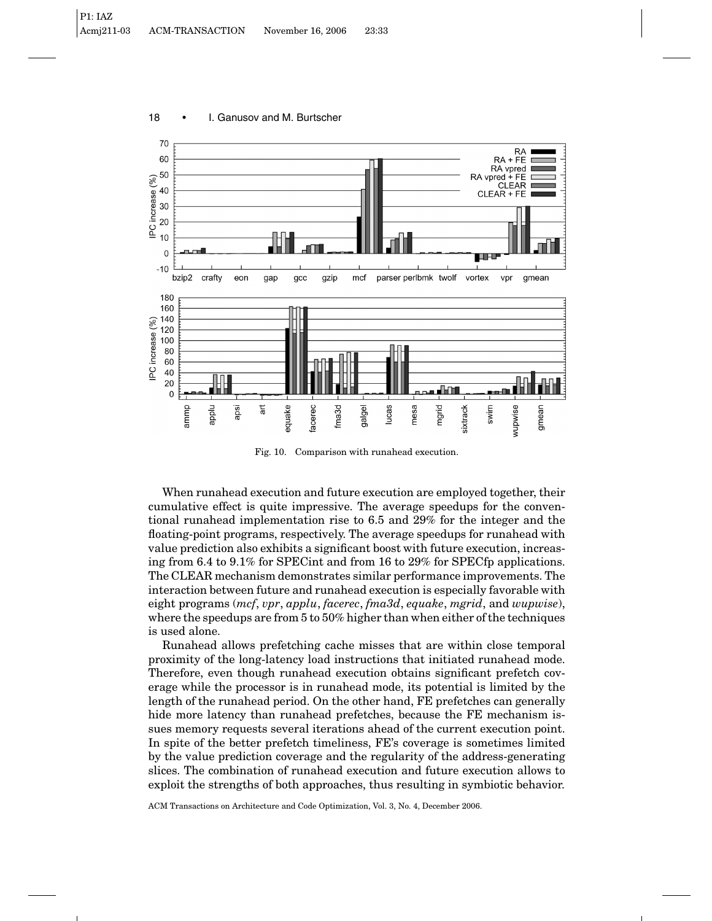

18 • I. Ganusov and M. Burtscher

Fig. 10. Comparison with runahead execution.

When runahead execution and future execution are employed together, their cumulative effect is quite impressive. The average speedups for the conventional runahead implementation rise to 6.5 and 29% for the integer and the floating-point programs, respectively. The average speedups for runahead with value prediction also exhibits a significant boost with future execution, increasing from 6.4 to 9.1% for SPECint and from 16 to 29% for SPECfp applications. The CLEAR mechanism demonstrates similar performance improvements. The interaction between future and runahead execution is especially favorable with eight programs (*mcf*, *vpr*, *applu*, *facerec*, *fma3d*, *equake*, *mgrid*, and *wupwise*), where the speedups are from 5 to 50% higher than when either of the techniques is used alone.

Runahead allows prefetching cache misses that are within close temporal proximity of the long-latency load instructions that initiated runahead mode. Therefore, even though runahead execution obtains significant prefetch coverage while the processor is in runahead mode, its potential is limited by the length of the runahead period. On the other hand, FE prefetches can generally hide more latency than runahead prefetches, because the FE mechanism issues memory requests several iterations ahead of the current execution point. In spite of the better prefetch timeliness, FE's coverage is sometimes limited by the value prediction coverage and the regularity of the address-generating slices. The combination of runahead execution and future execution allows to exploit the strengths of both approaches, thus resulting in symbiotic behavior.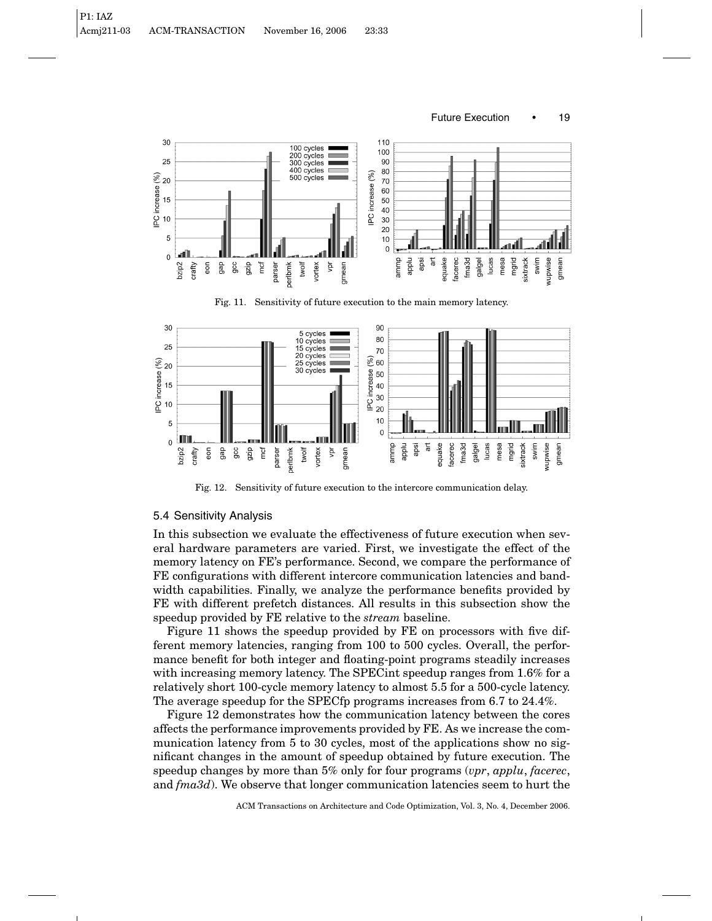

Fig. 11. Sensitivity of future execution to the main memory latency.



Fig. 12. Sensitivity of future execution to the intercore communication delay.

## 5.4 Sensitivity Analysis

In this subsection we evaluate the effectiveness of future execution when several hardware parameters are varied. First, we investigate the effect of the memory latency on FE's performance. Second, we compare the performance of FE configurations with different intercore communication latencies and bandwidth capabilities. Finally, we analyze the performance benefits provided by FE with different prefetch distances. All results in this subsection show the speedup provided by FE relative to the *stream* baseline.

Figure 11 shows the speedup provided by FE on processors with five different memory latencies, ranging from 100 to 500 cycles. Overall, the performance benefit for both integer and floating-point programs steadily increases with increasing memory latency. The SPECint speedup ranges from 1.6% for a relatively short 100-cycle memory latency to almost 5.5 for a 500-cycle latency. The average speedup for the SPECfp programs increases from 6.7 to 24.4%.

Figure 12 demonstrates how the communication latency between the cores affects the performance improvements provided by FE. As we increase the communication latency from 5 to 30 cycles, most of the applications show no significant changes in the amount of speedup obtained by future execution. The speedup changes by more than 5% only for four programs (*vpr*, *applu*, *facerec*, and *fma3d*). We observe that longer communication latencies seem to hurt the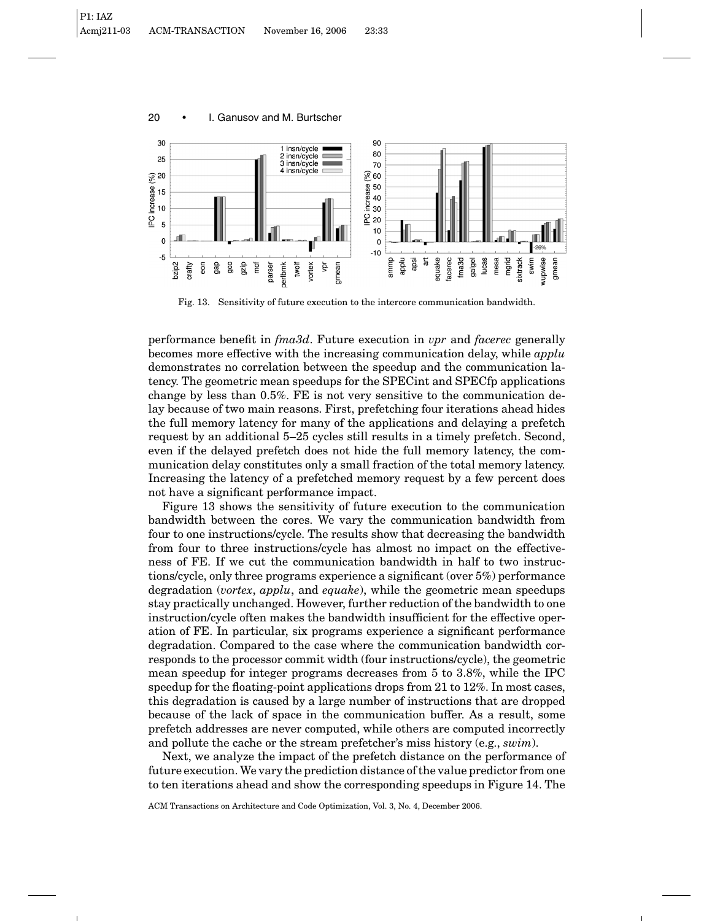

Fig. 13. Sensitivity of future execution to the intercore communication bandwidth.

performance benefit in *fma3d*. Future execution in *vpr* and *facerec* generally becomes more effective with the increasing communication delay, while *applu* demonstrates no correlation between the speedup and the communication latency. The geometric mean speedups for the SPECint and SPECfp applications change by less than 0.5%. FE is not very sensitive to the communication delay because of two main reasons. First, prefetching four iterations ahead hides the full memory latency for many of the applications and delaying a prefetch request by an additional 5–25 cycles still results in a timely prefetch. Second, even if the delayed prefetch does not hide the full memory latency, the communication delay constitutes only a small fraction of the total memory latency. Increasing the latency of a prefetched memory request by a few percent does not have a significant performance impact.

Figure 13 shows the sensitivity of future execution to the communication bandwidth between the cores. We vary the communication bandwidth from four to one instructions/cycle. The results show that decreasing the bandwidth from four to three instructions/cycle has almost no impact on the effectiveness of FE. If we cut the communication bandwidth in half to two instructions/cycle, only three programs experience a significant (over 5%) performance degradation (*vortex*, *applu*, and *equake*), while the geometric mean speedups stay practically unchanged. However, further reduction of the bandwidth to one instruction/cycle often makes the bandwidth insufficient for the effective operation of FE. In particular, six programs experience a significant performance degradation. Compared to the case where the communication bandwidth corresponds to the processor commit width (four instructions/cycle), the geometric mean speedup for integer programs decreases from 5 to 3.8%, while the IPC speedup for the floating-point applications drops from 21 to 12%. In most cases, this degradation is caused by a large number of instructions that are dropped because of the lack of space in the communication buffer. As a result, some prefetch addresses are never computed, while others are computed incorrectly and pollute the cache or the stream prefetcher's miss history (e.g., *swim*).

Next, we analyze the impact of the prefetch distance on the performance of future execution. We vary the prediction distance of the value predictor from one to ten iterations ahead and show the corresponding speedups in Figure 14. The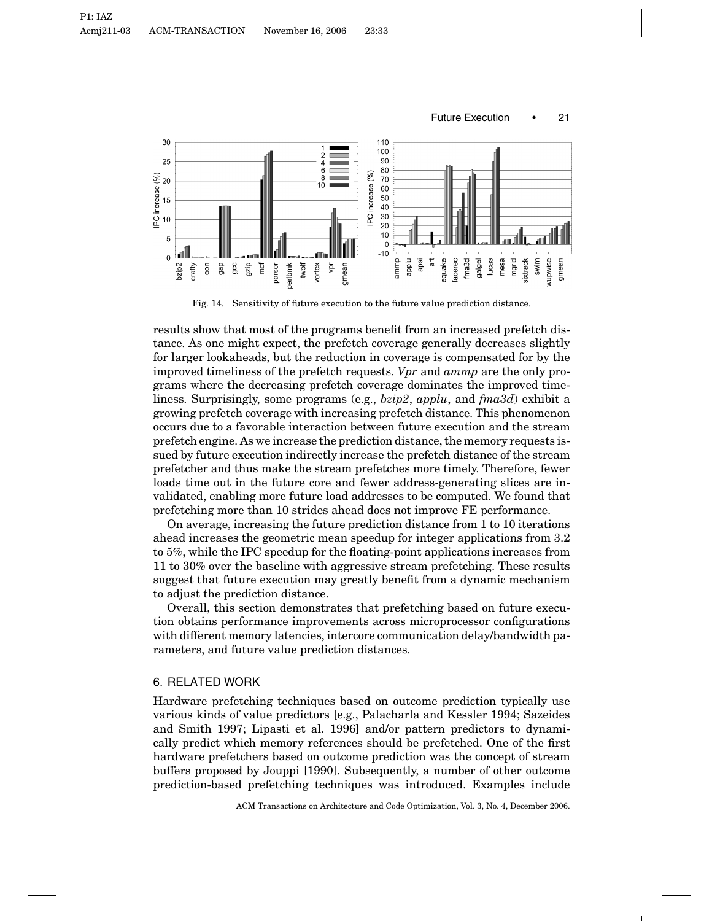

Fig. 14. Sensitivity of future execution to the future value prediction distance.

results show that most of the programs benefit from an increased prefetch distance. As one might expect, the prefetch coverage generally decreases slightly for larger lookaheads, but the reduction in coverage is compensated for by the improved timeliness of the prefetch requests. *Vpr* and *ammp* are the only programs where the decreasing prefetch coverage dominates the improved timeliness. Surprisingly, some programs (e.g., *bzip2*, *applu*, and *fma3d*) exhibit a growing prefetch coverage with increasing prefetch distance. This phenomenon occurs due to a favorable interaction between future execution and the stream prefetch engine. As we increase the prediction distance, the memory requests issued by future execution indirectly increase the prefetch distance of the stream prefetcher and thus make the stream prefetches more timely. Therefore, fewer loads time out in the future core and fewer address-generating slices are invalidated, enabling more future load addresses to be computed. We found that prefetching more than 10 strides ahead does not improve FE performance.

On average, increasing the future prediction distance from 1 to 10 iterations ahead increases the geometric mean speedup for integer applications from 3.2 to 5%, while the IPC speedup for the floating-point applications increases from 11 to 30% over the baseline with aggressive stream prefetching. These results suggest that future execution may greatly benefit from a dynamic mechanism to adjust the prediction distance.

Overall, this section demonstrates that prefetching based on future execution obtains performance improvements across microprocessor configurations with different memory latencies, intercore communication delay/bandwidth parameters, and future value prediction distances.

## 6. RELATED WORK

Hardware prefetching techniques based on outcome prediction typically use various kinds of value predictors [e.g., Palacharla and Kessler 1994; Sazeides and Smith 1997; Lipasti et al. 1996] and/or pattern predictors to dynamically predict which memory references should be prefetched. One of the first hardware prefetchers based on outcome prediction was the concept of stream buffers proposed by Jouppi [1990]. Subsequently, a number of other outcome prediction-based prefetching techniques was introduced. Examples include

ACM Transactions on Architecture and Code Optimization, Vol. 3, No. 4, December 2006.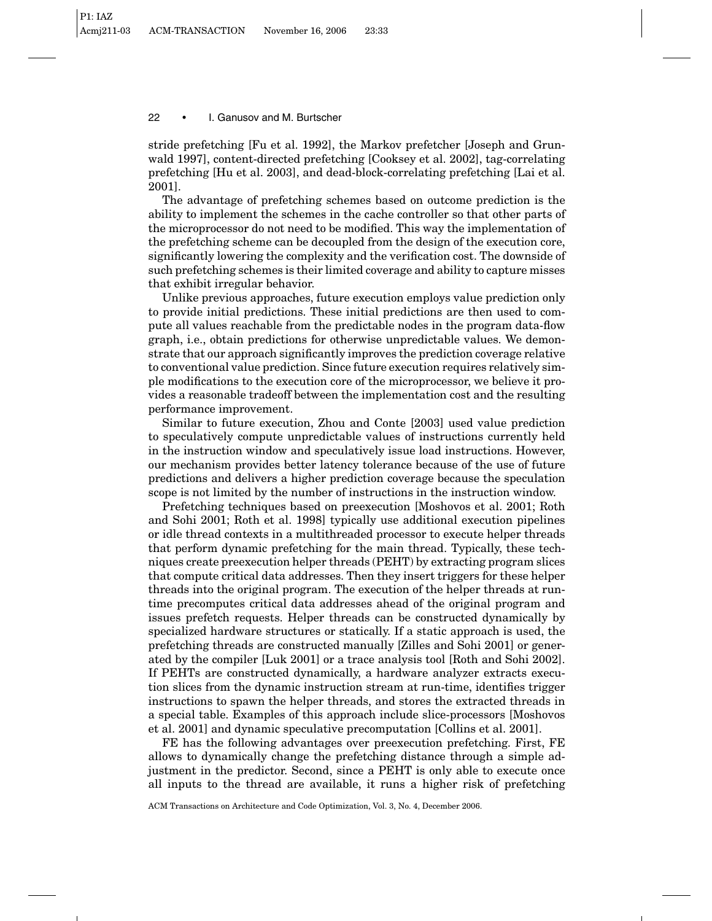stride prefetching [Fu et al. 1992], the Markov prefetcher [Joseph and Grunwald 1997], content-directed prefetching [Cooksey et al. 2002], tag-correlating prefetching [Hu et al. 2003], and dead-block-correlating prefetching [Lai et al. 2001].

The advantage of prefetching schemes based on outcome prediction is the ability to implement the schemes in the cache controller so that other parts of the microprocessor do not need to be modified. This way the implementation of the prefetching scheme can be decoupled from the design of the execution core, significantly lowering the complexity and the verification cost. The downside of such prefetching schemes is their limited coverage and ability to capture misses that exhibit irregular behavior.

Unlike previous approaches, future execution employs value prediction only to provide initial predictions. These initial predictions are then used to compute all values reachable from the predictable nodes in the program data-flow graph, i.e., obtain predictions for otherwise unpredictable values. We demonstrate that our approach significantly improves the prediction coverage relative to conventional value prediction. Since future execution requires relatively simple modifications to the execution core of the microprocessor, we believe it provides a reasonable tradeoff between the implementation cost and the resulting performance improvement.

Similar to future execution, Zhou and Conte [2003] used value prediction to speculatively compute unpredictable values of instructions currently held in the instruction window and speculatively issue load instructions. However, our mechanism provides better latency tolerance because of the use of future predictions and delivers a higher prediction coverage because the speculation scope is not limited by the number of instructions in the instruction window.

Prefetching techniques based on preexecution [Moshovos et al. 2001; Roth and Sohi 2001; Roth et al. 1998] typically use additional execution pipelines or idle thread contexts in a multithreaded processor to execute helper threads that perform dynamic prefetching for the main thread. Typically, these techniques create preexecution helper threads (PEHT) by extracting program slices that compute critical data addresses. Then they insert triggers for these helper threads into the original program. The execution of the helper threads at runtime precomputes critical data addresses ahead of the original program and issues prefetch requests. Helper threads can be constructed dynamically by specialized hardware structures or statically. If a static approach is used, the prefetching threads are constructed manually [Zilles and Sohi 2001] or generated by the compiler [Luk 2001] or a trace analysis tool [Roth and Sohi 2002]. If PEHTs are constructed dynamically, a hardware analyzer extracts execution slices from the dynamic instruction stream at run-time, identifies trigger instructions to spawn the helper threads, and stores the extracted threads in a special table. Examples of this approach include slice-processors [Moshovos et al. 2001] and dynamic speculative precomputation [Collins et al. 2001].

FE has the following advantages over preexecution prefetching. First, FE allows to dynamically change the prefetching distance through a simple adjustment in the predictor. Second, since a PEHT is only able to execute once all inputs to the thread are available, it runs a higher risk of prefetching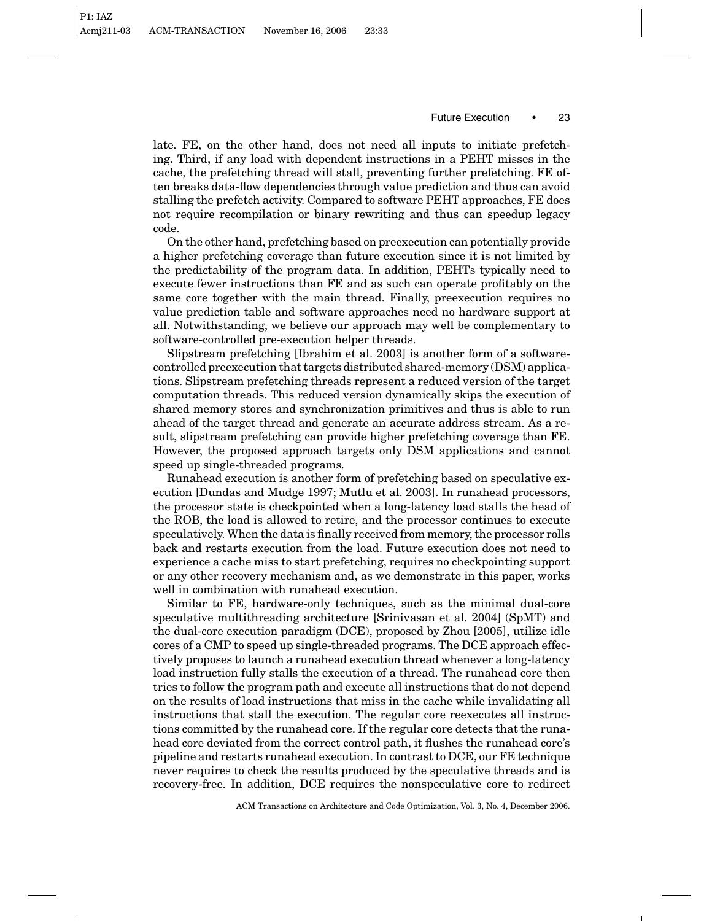late. FE, on the other hand, does not need all inputs to initiate prefetching. Third, if any load with dependent instructions in a PEHT misses in the cache, the prefetching thread will stall, preventing further prefetching. FE often breaks data-flow dependencies through value prediction and thus can avoid stalling the prefetch activity. Compared to software PEHT approaches, FE does not require recompilation or binary rewriting and thus can speedup legacy code.

On the other hand, prefetching based on preexecution can potentially provide a higher prefetching coverage than future execution since it is not limited by the predictability of the program data. In addition, PEHTs typically need to execute fewer instructions than FE and as such can operate profitably on the same core together with the main thread. Finally, preexecution requires no value prediction table and software approaches need no hardware support at all. Notwithstanding, we believe our approach may well be complementary to software-controlled pre-execution helper threads.

Slipstream prefetching [Ibrahim et al. 2003] is another form of a softwarecontrolled preexecution that targets distributed shared-memory (DSM) applications. Slipstream prefetching threads represent a reduced version of the target computation threads. This reduced version dynamically skips the execution of shared memory stores and synchronization primitives and thus is able to run ahead of the target thread and generate an accurate address stream. As a result, slipstream prefetching can provide higher prefetching coverage than FE. However, the proposed approach targets only DSM applications and cannot speed up single-threaded programs.

Runahead execution is another form of prefetching based on speculative execution [Dundas and Mudge 1997; Mutlu et al. 2003]. In runahead processors, the processor state is checkpointed when a long-latency load stalls the head of the ROB, the load is allowed to retire, and the processor continues to execute speculatively. When the data is finally received from memory, the processor rolls back and restarts execution from the load. Future execution does not need to experience a cache miss to start prefetching, requires no checkpointing support or any other recovery mechanism and, as we demonstrate in this paper, works well in combination with runahead execution.

Similar to FE, hardware-only techniques, such as the minimal dual-core speculative multithreading architecture [Srinivasan et al. 2004] (SpMT) and the dual-core execution paradigm (DCE), proposed by Zhou [2005], utilize idle cores of a CMP to speed up single-threaded programs. The DCE approach effectively proposes to launch a runahead execution thread whenever a long-latency load instruction fully stalls the execution of a thread. The runahead core then tries to follow the program path and execute all instructions that do not depend on the results of load instructions that miss in the cache while invalidating all instructions that stall the execution. The regular core reexecutes all instructions committed by the runahead core. If the regular core detects that the runahead core deviated from the correct control path, it flushes the runahead core's pipeline and restarts runahead execution. In contrast to DCE, our FE technique never requires to check the results produced by the speculative threads and is recovery-free. In addition, DCE requires the nonspeculative core to redirect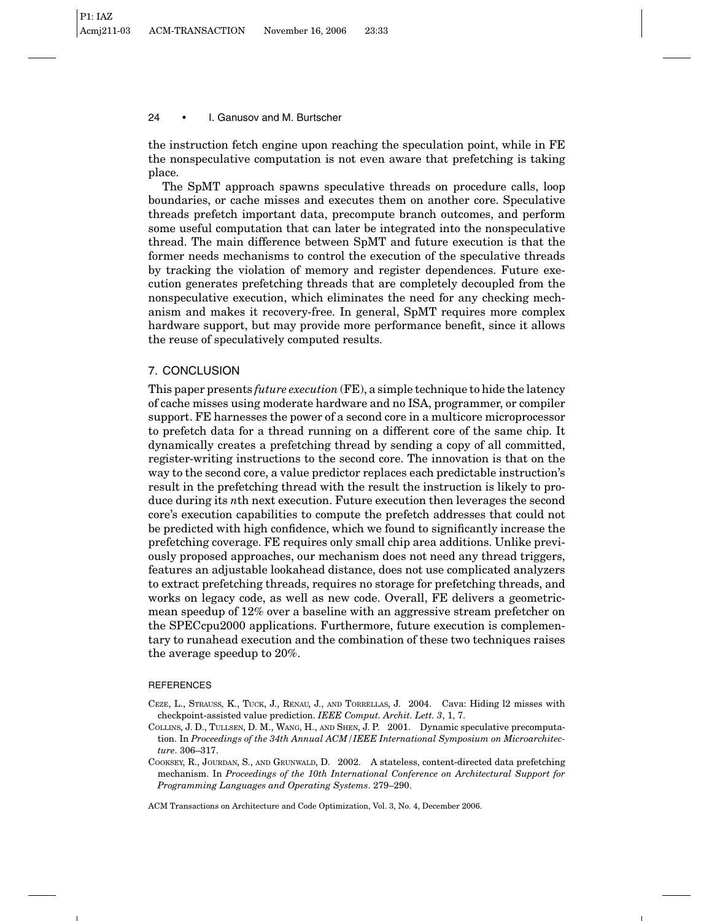the instruction fetch engine upon reaching the speculation point, while in FE the nonspeculative computation is not even aware that prefetching is taking place.

The SpMT approach spawns speculative threads on procedure calls, loop boundaries, or cache misses and executes them on another core. Speculative threads prefetch important data, precompute branch outcomes, and perform some useful computation that can later be integrated into the nonspeculative thread. The main difference between SpMT and future execution is that the former needs mechanisms to control the execution of the speculative threads by tracking the violation of memory and register dependences. Future execution generates prefetching threads that are completely decoupled from the nonspeculative execution, which eliminates the need for any checking mechanism and makes it recovery-free. In general, SpMT requires more complex hardware support, but may provide more performance benefit, since it allows the reuse of speculatively computed results.

# 7. CONCLUSION

This paper presents *future execution* (FE), a simple technique to hide the latency of cache misses using moderate hardware and no ISA, programmer, or compiler support. FE harnesses the power of a second core in a multicore microprocessor to prefetch data for a thread running on a different core of the same chip. It dynamically creates a prefetching thread by sending a copy of all committed, register-writing instructions to the second core. The innovation is that on the way to the second core, a value predictor replaces each predictable instruction's result in the prefetching thread with the result the instruction is likely to produce during its *n*th next execution. Future execution then leverages the second core's execution capabilities to compute the prefetch addresses that could not be predicted with high confidence, which we found to significantly increase the prefetching coverage. FE requires only small chip area additions. Unlike previously proposed approaches, our mechanism does not need any thread triggers, features an adjustable lookahead distance, does not use complicated analyzers to extract prefetching threads, requires no storage for prefetching threads, and works on legacy code, as well as new code. Overall, FE delivers a geometricmean speedup of 12% over a baseline with an aggressive stream prefetcher on the SPECcpu2000 applications. Furthermore, future execution is complementary to runahead execution and the combination of these two techniques raises the average speedup to 20%.

## **REFERENCES**

- CEZE, L., STRAUSS, K., TUCK, J., RENAU, J., AND TORRELLAS, J. 2004. Cava: Hiding l2 misses with checkpoint-assisted value prediction. *IEEE Comput. Archit. Lett. 3*, 1, 7.
- COLLINS, J. D., TULLSEN, D. M., WANG, H., AND SHEN, J. P. 2001. Dynamic speculative precomputation. In *Proceedings of the 34th Annual ACM/IEEE International Symposium on Microarchitecture*. 306–317.
- COOKSEY, R., JOURDAN, S., AND GRUNWALD, D. 2002. A stateless, content-directed data prefetching mechanism. In *Proceedings of the 10th International Conference on Architectural Support for Programming Languages and Operating Systems*. 279–290.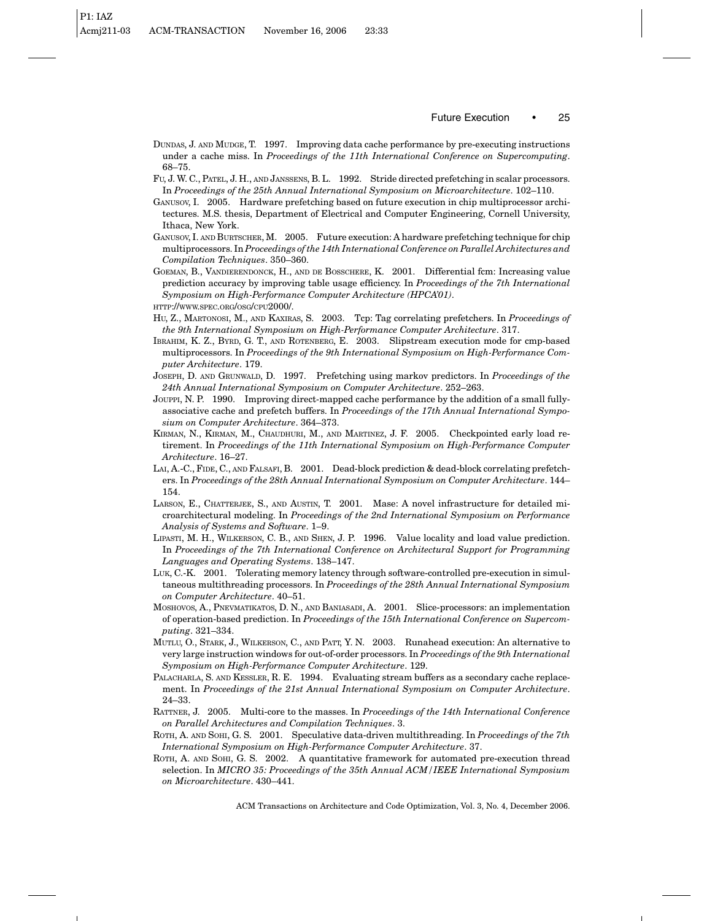- DUNDAS, J. AND MUDGE, T. 1997. Improving data cache performance by pre-executing instructions under a cache miss. In *Proceedings of the 11th International Conference on Supercomputing*. 68–75.
- FU, J. W. C., PATEL, J. H., AND JANSSENS, B. L. 1992. Stride directed prefetching in scalar processors. In *Proceedings of the 25th Annual International Symposium on Microarchitecture*. 102–110.
- GANUSOV, I. 2005. Hardware prefetching based on future execution in chip multiprocessor architectures. M.S. thesis, Department of Electrical and Computer Engineering, Cornell University, Ithaca, New York.
- GANUSOV, I. AND BURTSCHER, M. 2005. Future execution: A hardware prefetching technique for chip multiprocessors. In *Proceedings of the 14th International Conference on Parallel Architectures and Compilation Techniques*. 350–360.
- GOEMAN, B., VANDIERENDONCK, H., AND DE BOSSCHERE, K. 2001. Differential fcm: Increasing value prediction accuracy by improving table usage efficiency. In *Proceedings of the 7th International Symposium on High-Performance Computer Architecture (HPCA'01)*.

- HU, Z., MARTONOSI, M., AND KAXIRAS, S. 2003. Tcp: Tag correlating prefetchers. In *Proceedings of the 9th International Symposium on High-Performance Computer Architecture*. 317.
- IBRAHIM, K. Z., BYRD, G. T., AND ROTENBERG, E. 2003. Slipstream execution mode for cmp-based multiprocessors. In *Proceedings of the 9th International Symposium on High-Performance Computer Architecture*. 179.
- JOSEPH, D. AND GRUNWALD, D. 1997. Prefetching using markov predictors. In *Proceedings of the 24th Annual International Symposium on Computer Architecture*. 252–263.
- JOUPPI, N. P. 1990. Improving direct-mapped cache performance by the addition of a small fullyassociative cache and prefetch buffers. In *Proceedings of the 17th Annual International Symposium on Computer Architecture*. 364–373.
- KIRMAN, N., KIRMAN, M., CHAUDHURI, M., AND MARTINEZ, J. F. 2005. Checkpointed early load retirement. In *Proceedings of the 11th International Symposium on High-Performance Computer Architecture*. 16–27.
- LAI, A.-C., FIDE, C., AND FALSAFI, B. 2001. Dead-block prediction & dead-block correlating prefetchers. In *Proceedings of the 28th Annual International Symposium on Computer Architecture*. 144– 154.
- LARSON, E., CHATTERJEE, S., AND AUSTIN, T. 2001. Mase: A novel infrastructure for detailed microarchitectural modeling. In *Proceedings of the 2nd International Symposium on Performance Analysis of Systems and Software*. 1–9.
- LIPASTI, M. H., WILKERSON, C. B., AND SHEN, J. P. 1996. Value locality and load value prediction. In *Proceedings of the 7th International Conference on Architectural Support for Programming Languages and Operating Systems*. 138–147.
- LUK, C.-K. 2001. Tolerating memory latency through software-controlled pre-execution in simultaneous multithreading processors. In *Proceedings of the 28th Annual International Symposium on Computer Architecture*. 40–51.
- MOSHOVOS, A., PNEVMATIKATOS, D. N., AND BANIASADI, A. 2001. Slice-processors: an implementation of operation-based prediction. In *Proceedings of the 15th International Conference on Supercomputing*. 321–334.
- MUTLU, O., STARK, J., WILKERSON, C., AND PATT, Y. N. 2003. Runahead execution: An alternative to very large instruction windows for out-of-order processors. In *Proceedings of the 9th International Symposium on High-Performance Computer Architecture*. 129.
- PALACHARLA, S. AND KESSLER, R. E. 1994. Evaluating stream buffers as a secondary cache replacement. In *Proceedings of the 21st Annual International Symposium on Computer Architecture*. 24–33.
- RATTNER, J. 2005. Multi-core to the masses. In *Proceedings of the 14th International Conference on Parallel Architectures and Compilation Techniques*. 3.
- ROTH, A. AND SOHI, G. S. 2001. Speculative data-driven multithreading. In *Proceedings of the 7th International Symposium on High-Performance Computer Architecture*. 37.
- ROTH, A. AND SOHI, G. S. 2002. A quantitative framework for automated pre-execution thread selection. In *MICRO 35: Proceedings of the 35th Annual ACM/IEEE International Symposium on Microarchitecture*. 430–441.

HTTP://WWW.SPEC.ORG/OSG/CPU2000/.